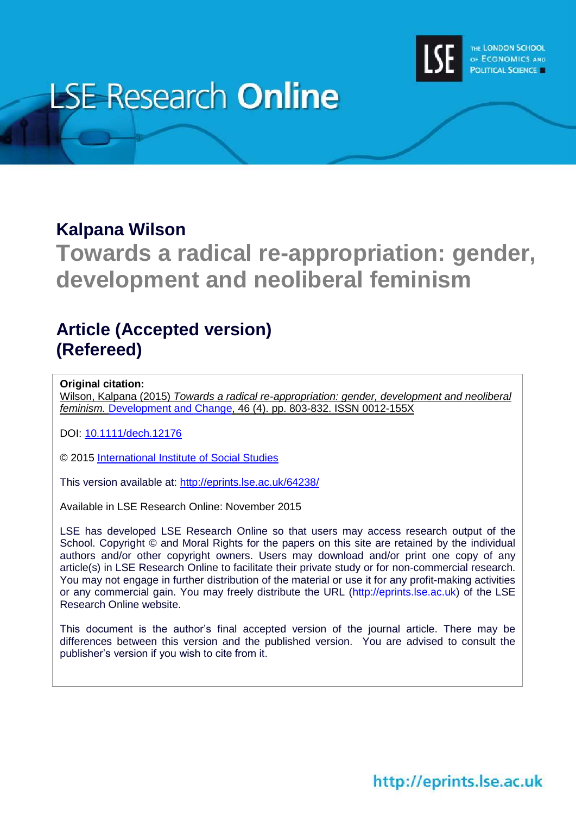

# **LSE Research Online**

# **Kalpana Wilson**

**Towards a radical re-appropriation: gender, development and neoliberal feminism**

# **Article (Accepted version) (Refereed)**

### **Original citation:**

Wilson, Kalpana (2015) *Towards a radical re-appropriation: gender, development and neoliberal feminism.* [Development and Change,](http://onlinelibrary.wiley.com/journal/10.1111/(ISSN)1467-7660) 46 (4). pp. 803-832. ISSN 0012-155X

DOI: [10.1111/dech.12176](http://dx.doi.org/10.1111/dech.12176)

© 2015 [International Institute of Social Studies](http://www.iss.nl/)

This version available at:<http://eprints.lse.ac.uk/64238/>

Available in LSE Research Online: November 2015

LSE has developed LSE Research Online so that users may access research output of the School. Copyright © and Moral Rights for the papers on this site are retained by the individual authors and/or other copyright owners. Users may download and/or print one copy of any article(s) in LSE Research Online to facilitate their private study or for non-commercial research. You may not engage in further distribution of the material or use it for any profit-making activities or any commercial gain. You may freely distribute the URL (http://eprints.lse.ac.uk) of the LSE Research Online website.

This document is the author's final accepted version of the journal article. There may be differences between this version and the published version. You are advised to consult the publisher's version if you wish to cite from it.

http://eprints.lse.ac.uk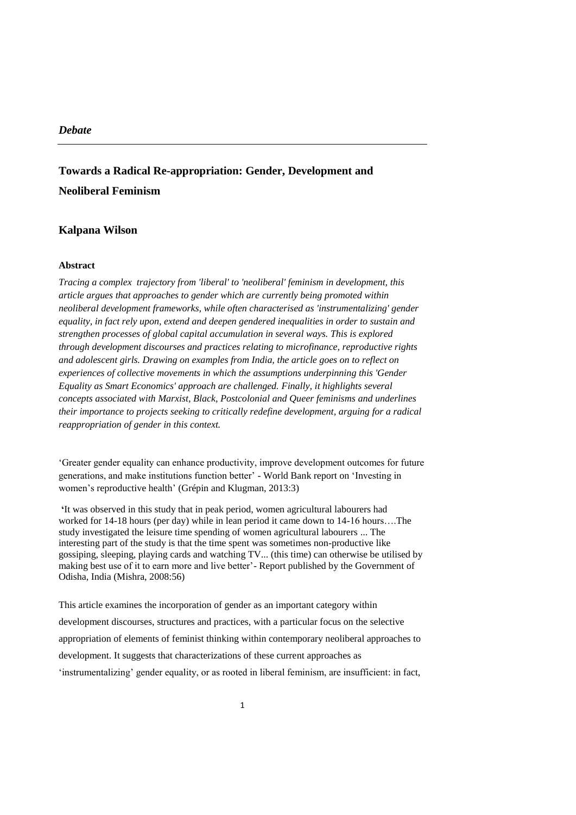#### *Debate*

# **Towards a Radical Re-appropriation: Gender, Development and Neoliberal Feminism**

#### **Kalpana Wilson**

#### **Abstract**

*Tracing a complex trajectory from 'liberal' to 'neoliberal' feminism in development, this article argues that approaches to gender which are currently being promoted within neoliberal development frameworks, while often characterised as 'instrumentalizing' gender equality, in fact rely upon, extend and deepen gendered inequalities in order to sustain and strengthen processes of global capital accumulation in several ways. This is explored through development discourses and practices relating to microfinance, reproductive rights and adolescent girls. Drawing on examples from India, the article goes on to reflect on experiences of collective movements in which the assumptions underpinning this 'Gender Equality as Smart Economics' approach are challenged. Finally, it highlights several concepts associated with Marxist, Black, Postcolonial and Queer feminisms and underlines their importance to projects seeking to critically redefine development, arguing for a radical reappropriation of gender in this context.*

'Greater gender equality can enhance productivity, improve development outcomes for future generations, and make institutions function better' - World Bank report on 'Investing in women's reproductive health' (Grépin and Klugman, 2013:3)

**'**It was observed in this study that in peak period, women agricultural labourers had worked for 14-18 hours (per day) while in lean period it came down to 14-16 hours….The study investigated the leisure time spending of women agricultural labourers ... The interesting part of the study is that the time spent was sometimes non-productive like gossiping, sleeping, playing cards and watching TV... (this time) can otherwise be utilised by making best use of it to earn more and live better'- Report published by the Government of Odisha, India (Mishra, 2008:56)

This article examines the incorporation of gender as an important category within development discourses, structures and practices, with a particular focus on the selective appropriation of elements of feminist thinking within contemporary neoliberal approaches to development. It suggests that characterizations of these current approaches as 'instrumentalizing' gender equality, or as rooted in liberal feminism, are insufficient: in fact,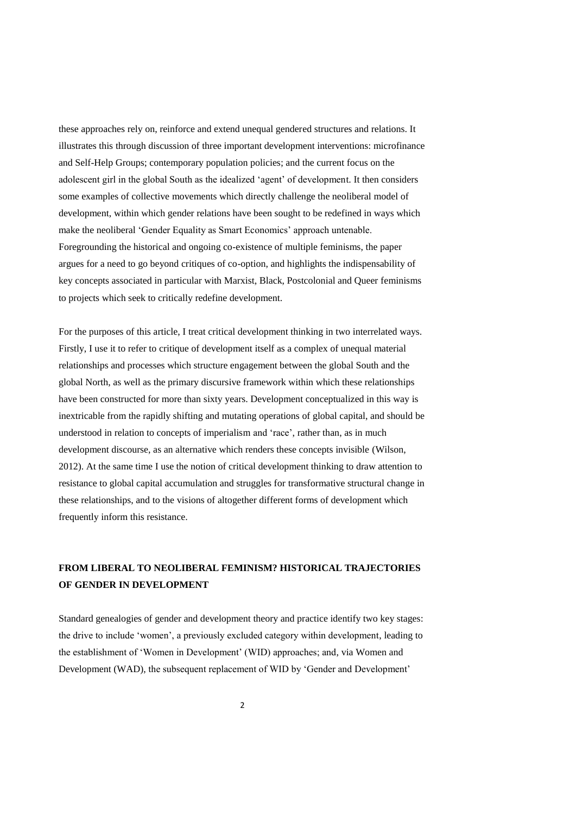these approaches rely on, reinforce and extend unequal gendered structures and relations. It illustrates this through discussion of three important development interventions: microfinance and Self-Help Groups; contemporary population policies; and the current focus on the adolescent girl in the global South as the idealized 'agent' of development. It then considers some examples of collective movements which directly challenge the neoliberal model of development, within which gender relations have been sought to be redefined in ways which make the neoliberal 'Gender Equality as Smart Economics' approach untenable. Foregrounding the historical and ongoing co-existence of multiple feminisms, the paper argues for a need to go beyond critiques of co-option, and highlights the indispensability of key concepts associated in particular with Marxist, Black, Postcolonial and Queer feminisms to projects which seek to critically redefine development.

For the purposes of this article, I treat critical development thinking in two interrelated ways. Firstly, I use it to refer to critique of development itself as a complex of unequal material relationships and processes which structure engagement between the global South and the global North, as well as the primary discursive framework within which these relationships have been constructed for more than sixty years. Development conceptualized in this way is inextricable from the rapidly shifting and mutating operations of global capital, and should be understood in relation to concepts of imperialism and 'race', rather than, as in much development discourse, as an alternative which renders these concepts invisible (Wilson, 2012). At the same time I use the notion of critical development thinking to draw attention to resistance to global capital accumulation and struggles for transformative structural change in these relationships, and to the visions of altogether different forms of development which frequently inform this resistance.

# **FROM LIBERAL TO NEOLIBERAL FEMINISM? HISTORICAL TRAJECTORIES OF GENDER IN DEVELOPMENT**

Standard genealogies of gender and development theory and practice identify two key stages: the drive to include 'women', a previously excluded category within development, leading to the establishment of 'Women in Development' (WID) approaches; and, via Women and Development (WAD), the subsequent replacement of WID by 'Gender and Development'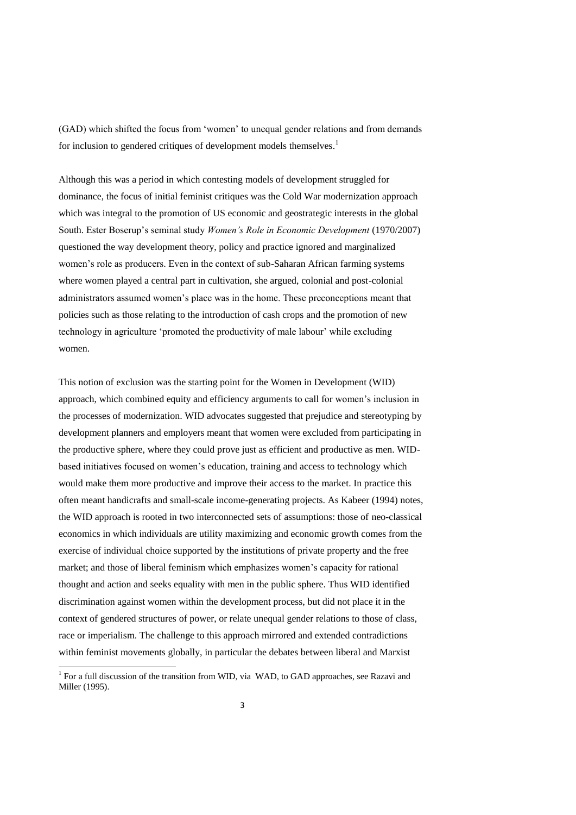(GAD) which shifted the focus from 'women' to unequal gender relations and from demands for inclusion to gendered critiques of development models themselves.<sup>1</sup>

Although this was a period in which contesting models of development struggled for dominance, the focus of initial feminist critiques was the Cold War modernization approach which was integral to the promotion of US economic and geostrategic interests in the global South. Ester Boserup's seminal study *Women's Role in Economic Development* (1970/2007) questioned the way development theory, policy and practice ignored and marginalized women's role as producers. Even in the context of sub-Saharan African farming systems where women played a central part in cultivation, she argued, colonial and post-colonial administrators assumed women's place was in the home. These preconceptions meant that policies such as those relating to the introduction of cash crops and the promotion of new technology in agriculture 'promoted the productivity of male labour' while excluding women.

This notion of exclusion was the starting point for the Women in Development (WID) approach, which combined equity and efficiency arguments to call for women's inclusion in the processes of modernization. WID advocates suggested that prejudice and stereotyping by development planners and employers meant that women were excluded from participating in the productive sphere, where they could prove just as efficient and productive as men. WIDbased initiatives focused on women's education, training and access to technology which would make them more productive and improve their access to the market. In practice this often meant handicrafts and small-scale income-generating projects. As Kabeer (1994) notes, the WID approach is rooted in two interconnected sets of assumptions: those of neo-classical economics in which individuals are utility maximizing and economic growth comes from the exercise of individual choice supported by the institutions of private property and the free market; and those of liberal feminism which emphasizes women's capacity for rational thought and action and seeks equality with men in the public sphere. Thus WID identified discrimination against women within the development process, but did not place it in the context of gendered structures of power, or relate unequal gender relations to those of class, race or imperialism. The challenge to this approach mirrored and extended contradictions within feminist movements globally, in particular the debates between liberal and Marxist

j

 $1$  For a full discussion of the transition from WID, via WAD, to GAD approaches, see Razavi and Miller (1995).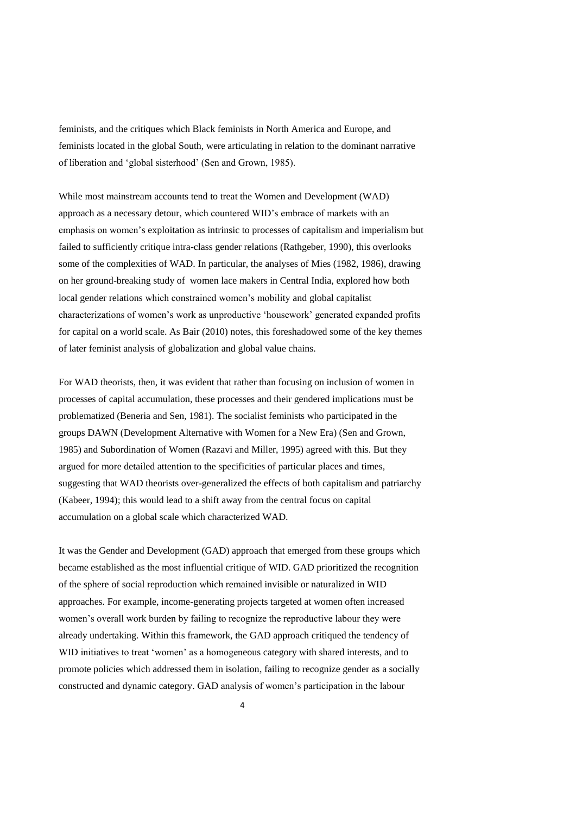feminists, and the critiques which Black feminists in North America and Europe, and feminists located in the global South, were articulating in relation to the dominant narrative of liberation and 'global sisterhood' (Sen and Grown, 1985).

While most mainstream accounts tend to treat the Women and Development (WAD) approach as a necessary detour, which countered WID's embrace of markets with an emphasis on women's exploitation as intrinsic to processes of capitalism and imperialism but failed to sufficiently critique intra-class gender relations (Rathgeber, 1990), this overlooks some of the complexities of WAD. In particular, the analyses of Mies (1982, 1986), drawing on her ground-breaking study of women lace makers in Central India, explored how both local gender relations which constrained women's mobility and global capitalist characterizations of women's work as unproductive 'housework' generated expanded profits for capital on a world scale. As Bair (2010) notes, this foreshadowed some of the key themes of later feminist analysis of globalization and global value chains.

For WAD theorists, then, it was evident that rather than focusing on inclusion of women in processes of capital accumulation, these processes and their gendered implications must be problematized (Beneria and Sen, 1981). The socialist feminists who participated in the groups DAWN (Development Alternative with Women for a New Era) (Sen and Grown, 1985) and Subordination of Women (Razavi and Miller, 1995) agreed with this. But they argued for more detailed attention to the specificities of particular places and times, suggesting that WAD theorists over-generalized the effects of both capitalism and patriarchy (Kabeer, 1994); this would lead to a shift away from the central focus on capital accumulation on a global scale which characterized WAD.

It was the Gender and Development (GAD) approach that emerged from these groups which became established as the most influential critique of WID. GAD prioritized the recognition of the sphere of social reproduction which remained invisible or naturalized in WID approaches. For example, income-generating projects targeted at women often increased women's overall work burden by failing to recognize the reproductive labour they were already undertaking. Within this framework, the GAD approach critiqued the tendency of WID initiatives to treat 'women' as a homogeneous category with shared interests, and to promote policies which addressed them in isolation, failing to recognize gender as a socially constructed and dynamic category. GAD analysis of women's participation in the labour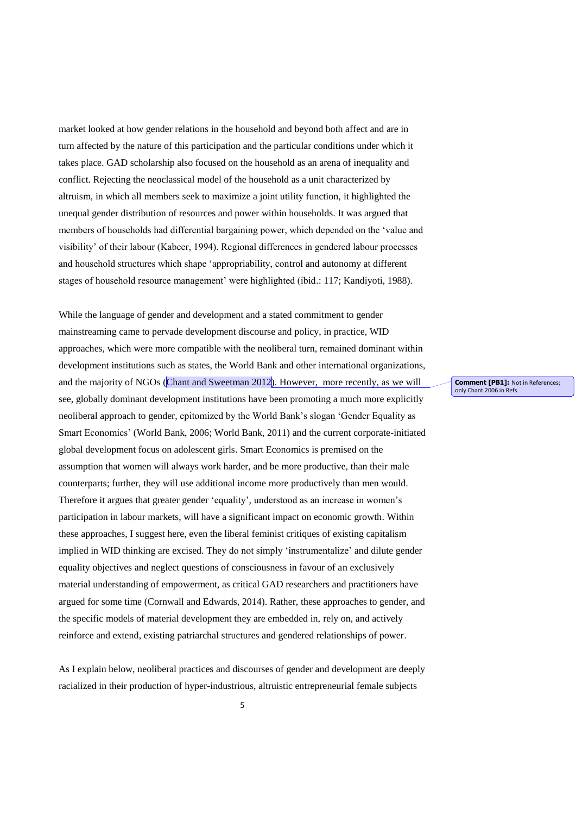market looked at how gender relations in the household and beyond both affect and are in turn affected by the nature of this participation and the particular conditions under which it takes place. GAD scholarship also focused on the household as an arena of inequality and conflict. Rejecting the neoclassical model of the household as a unit characterized by altruism, in which all members seek to maximize a joint utility function, it highlighted the unequal gender distribution of resources and power within households. It was argued that members of households had differential bargaining power, which depended on the 'value and visibility' of their labour (Kabeer, 1994). Regional differences in gendered labour processes and household structures which shape 'appropriability, control and autonomy at different stages of household resource management' were highlighted (ibid.: 117; Kandiyoti, 1988).

While the language of gender and development and a stated commitment to gender mainstreaming came to pervade development discourse and policy, in practice, WID approaches, which were more compatible with the neoliberal turn, remained dominant within development institutions such as states, the World Bank and other international organizations, and the majority of NGOs (Chant and Sweetman 2012). However, more recently, as we will see, globally dominant development institutions have been promoting a much more explicitly neoliberal approach to gender, epitomized by the World Bank's slogan 'Gender Equality as Smart Economics' (World Bank, 2006; World Bank, 2011) and the current corporate-initiated global development focus on adolescent girls. Smart Economics is premised on the assumption that women will always work harder, and be more productive, than their male counterparts; further, they will use additional income more productively than men would. Therefore it argues that greater gender 'equality', understood as an increase in women's participation in labour markets, will have a significant impact on economic growth. Within these approaches, I suggest here, even the liberal feminist critiques of existing capitalism implied in WID thinking are excised. They do not simply 'instrumentalize' and dilute gender equality objectives and neglect questions of consciousness in favour of an exclusively material understanding of empowerment, as critical GAD researchers and practitioners have argued for some time (Cornwall and Edwards, 2014). Rather, these approaches to gender, and the specific models of material development they are embedded in, rely on, and actively reinforce and extend, existing patriarchal structures and gendered relationships of power.

As I explain below, neoliberal practices and discourses of gender and development are deeply racialized in their production of hyper-industrious, altruistic entrepreneurial female subjects

**Comment [PB1]:** Not in References; only Chant 2006 in Refs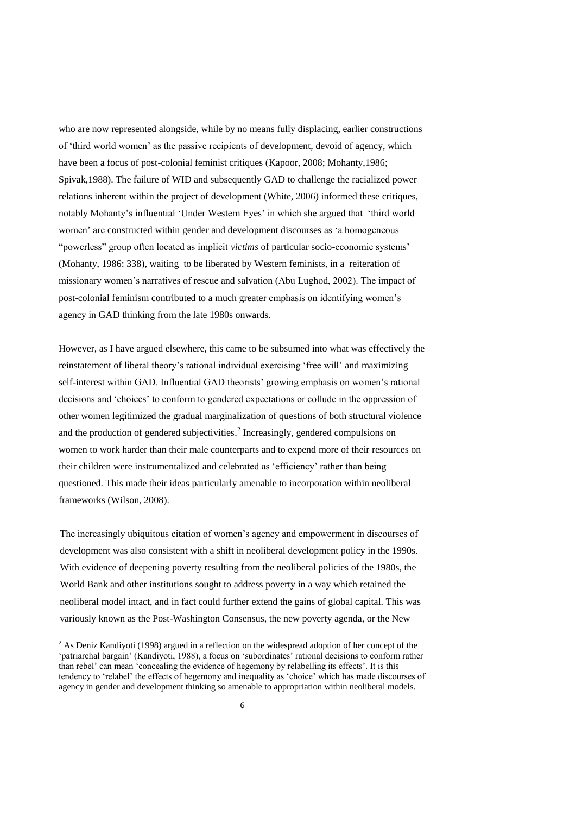who are now represented alongside, while by no means fully displacing, earlier constructions of 'third world women' as the passive recipients of development, devoid of agency, which have been a focus of post-colonial feminist critiques (Kapoor, 2008; Mohanty,1986; Spivak,1988). The failure of WID and subsequently GAD to challenge the racialized power relations inherent within the project of development (White, 2006) informed these critiques, notably Mohanty's influential 'Under Western Eyes' in which she argued that 'third world women' are constructed within gender and development discourses as 'a homogeneous "powerless" group often located as implicit *victims* of particular socio-economic systems' (Mohanty, 1986: 338), waiting to be liberated by Western feminists, in a reiteration of missionary women's narratives of rescue and salvation (Abu Lughod, 2002). The impact of post-colonial feminism contributed to a much greater emphasis on identifying women's agency in GAD thinking from the late 1980s onwards.

However, as I have argued elsewhere, this came to be subsumed into what was effectively the reinstatement of liberal theory's rational individual exercising 'free will' and maximizing self-interest within GAD. Influential GAD theorists' growing emphasis on women's rational decisions and 'choices' to conform to gendered expectations or collude in the oppression of other women legitimized the gradual marginalization of questions of both structural violence and the production of gendered subjectivities.<sup>2</sup> Increasingly, gendered compulsions on women to work harder than their male counterparts and to expend more of their resources on their children were instrumentalized and celebrated as 'efficiency' rather than being questioned. This made their ideas particularly amenable to incorporation within neoliberal frameworks (Wilson, 2008).

The increasingly ubiquitous citation of women's agency and empowerment in discourses of development was also consistent with a shift in neoliberal development policy in the 1990s. With evidence of deepening poverty resulting from the neoliberal policies of the 1980s, the World Bank and other institutions sought to address poverty in a way which retained the neoliberal model intact, and in fact could further extend the gains of global capital. This was variously known as the Post-Washington Consensus, the new poverty agenda, or the New

j

 $2^{2}$  As Deniz Kandiyoti (1998) argued in a reflection on the widespread adoption of her concept of the 'patriarchal bargain' (Kandiyoti, 1988), a focus on 'subordinates' rational decisions to conform rather than rebel' can mean 'concealing the evidence of hegemony by relabelling its effects'. It is this tendency to 'relabel' the effects of hegemony and inequality as 'choice' which has made discourses of agency in gender and development thinking so amenable to appropriation within neoliberal models.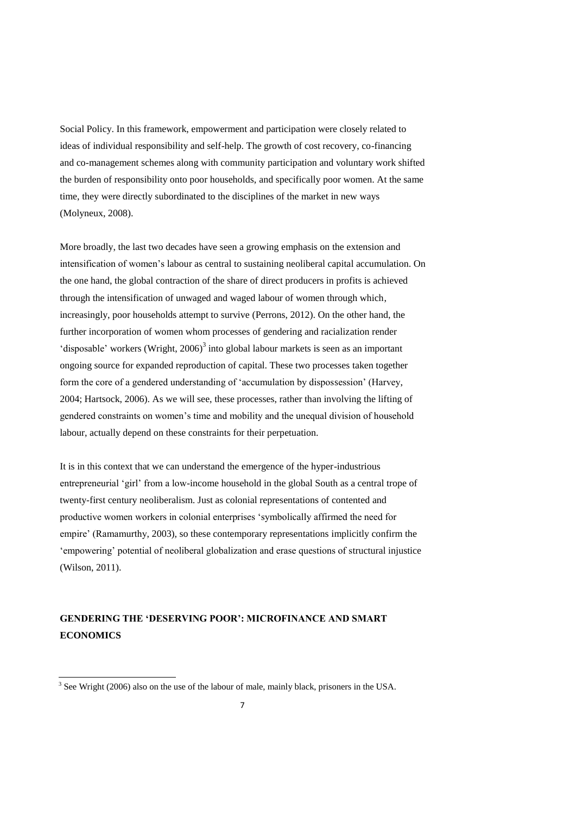Social Policy. In this framework, empowerment and participation were closely related to ideas of individual responsibility and self-help. The growth of cost recovery, co-financing and co-management schemes along with community participation and voluntary work shifted the burden of responsibility onto poor households, and specifically poor women. At the same time, they were directly subordinated to the disciplines of the market in new ways (Molyneux, 2008).

More broadly, the last two decades have seen a growing emphasis on the extension and intensification of women's labour as central to sustaining neoliberal capital accumulation. On the one hand, the global contraction of the share of direct producers in profits is achieved through the intensification of unwaged and waged labour of women through which, increasingly, poor households attempt to survive (Perrons, 2012). On the other hand, the further incorporation of women whom processes of gendering and racialization render 'disposable' workers (Wright, 2006)<sup>3</sup> into global labour markets is seen as an important ongoing source for expanded reproduction of capital. These two processes taken together form the core of a gendered understanding of 'accumulation by dispossession' (Harvey, 2004; Hartsock, 2006). As we will see, these processes, rather than involving the lifting of gendered constraints on women's time and mobility and the unequal division of household labour, actually depend on these constraints for their perpetuation.

It is in this context that we can understand the emergence of the hyper-industrious entrepreneurial 'girl' from a low-income household in the global South as a central trope of twenty-first century neoliberalism. Just as colonial representations of contented and productive women workers in colonial enterprises 'symbolically affirmed the need for empire' (Ramamurthy, 2003), so these contemporary representations implicitly confirm the 'empowering' potential of neoliberal globalization and erase questions of structural injustice (Wilson, 2011).

# **GENDERING THE 'DESERVING POOR': MICROFINANCE AND SMART ECONOMICS**

 $\overline{a}$ 

 $3$  See Wright (2006) also on the use of the labour of male, mainly black, prisoners in the USA.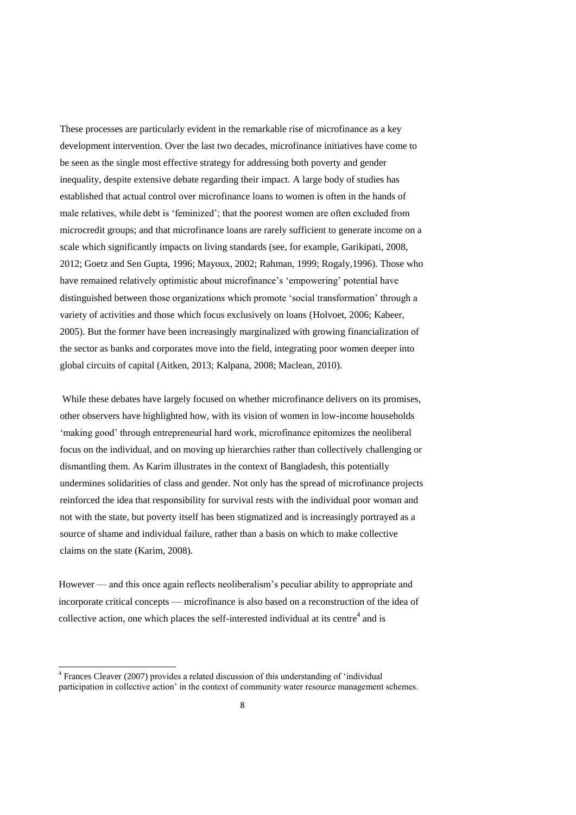These processes are particularly evident in the remarkable rise of microfinance as a key development intervention. Over the last two decades, microfinance initiatives have come to be seen as the single most effective strategy for addressing both poverty and gender inequality, despite extensive debate regarding their impact. A large body of studies has established that actual control over microfinance loans to women is often in the hands of male relatives, while debt is 'feminized'; that the poorest women are often excluded from microcredit groups; and that microfinance loans are rarely sufficient to generate income on a scale which significantly impacts on living standards (see, for example, Garikipati, 2008, 2012; Goetz and Sen Gupta, 1996; Mayoux, 2002; Rahman, 1999; Rogaly,1996). Those who have remained relatively optimistic about microfinance's 'empowering' potential have distinguished between those organizations which promote 'social transformation' through a variety of activities and those which focus exclusively on loans (Holvoet, 2006; Kabeer, 2005). But the former have been increasingly marginalized with growing financialization of the sector as banks and corporates move into the field, integrating poor women deeper into global circuits of capital (Aitken, 2013; Kalpana, 2008; Maclean, 2010).

While these debates have largely focused on whether microfinance delivers on its promises, other observers have highlighted how, with its vision of women in low-income households 'making good' through entrepreneurial hard work, microfinance epitomizes the neoliberal focus on the individual, and on moving up hierarchies rather than collectively challenging or dismantling them. As Karim illustrates in the context of Bangladesh, this potentially undermines solidarities of class and gender. Not only has the spread of microfinance projects reinforced the idea that responsibility for survival rests with the individual poor woman and not with the state, but poverty itself has been stigmatized and is increasingly portrayed as a source of shame and individual failure, rather than a basis on which to make collective claims on the state (Karim, 2008).

However — and this once again reflects neoliberalism's peculiar ability to appropriate and incorporate critical concepts — microfinance is also based on a reconstruction of the idea of collective action, one which places the self-interested individual at its centre<sup>4</sup> and is

j

<sup>&</sup>lt;sup>4</sup> Frances Cleaver (2007) provides a related discussion of this understanding of 'individual participation in collective action' in the context of community water resource management schemes.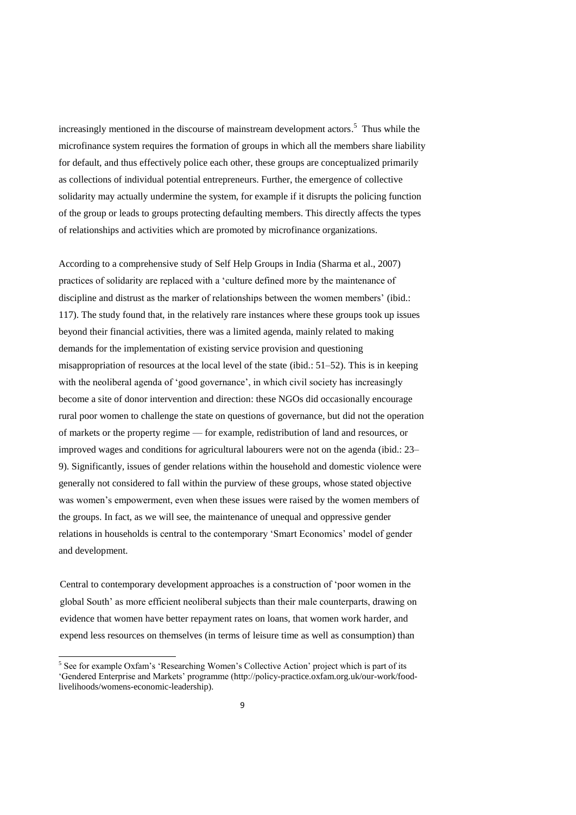increasingly mentioned in the discourse of mainstream development actors. 5 Thus while the microfinance system requires the formation of groups in which all the members share liability for default, and thus effectively police each other, these groups are conceptualized primarily as collections of individual potential entrepreneurs. Further, the emergence of collective solidarity may actually undermine the system, for example if it disrupts the policing function of the group or leads to groups protecting defaulting members. This directly affects the types of relationships and activities which are promoted by microfinance organizations.

According to a comprehensive study of Self Help Groups in India (Sharma et al., 2007) practices of solidarity are replaced with a 'culture defined more by the maintenance of discipline and distrust as the marker of relationships between the women members' (ibid.: 117). The study found that, in the relatively rare instances where these groups took up issues beyond their financial activities, there was a limited agenda, mainly related to making demands for the implementation of existing service provision and questioning misappropriation of resources at the local level of the state (ibid.: 51–52). This is in keeping with the neoliberal agenda of 'good governance', in which civil society has increasingly become a site of donor intervention and direction: these NGOs did occasionally encourage rural poor women to challenge the state on questions of governance, but did not the operation of markets or the property regime — for example, redistribution of land and resources, or improved wages and conditions for agricultural labourers were not on the agenda (ibid.: 23– 9). Significantly, issues of gender relations within the household and domestic violence were generally not considered to fall within the purview of these groups, whose stated objective was women's empowerment, even when these issues were raised by the women members of the groups. In fact, as we will see, the maintenance of unequal and oppressive gender relations in households is central to the contemporary 'Smart Economics' model of gender and development.

Central to contemporary development approaches is a construction of 'poor women in the global South' as more efficient neoliberal subjects than their male counterparts, drawing on evidence that women have better repayment rates on loans, that women work harder, and expend less resources on themselves (in terms of leisure time as well as consumption) than

<sup>&</sup>lt;sup>5</sup> See for example Oxfam's 'Researching Women's Collective Action' project which is part of its 'Gendered Enterprise and Markets' programme (http://policy-practice.oxfam.org.uk/our-work/foodlivelihoods/womens-economic-leadership).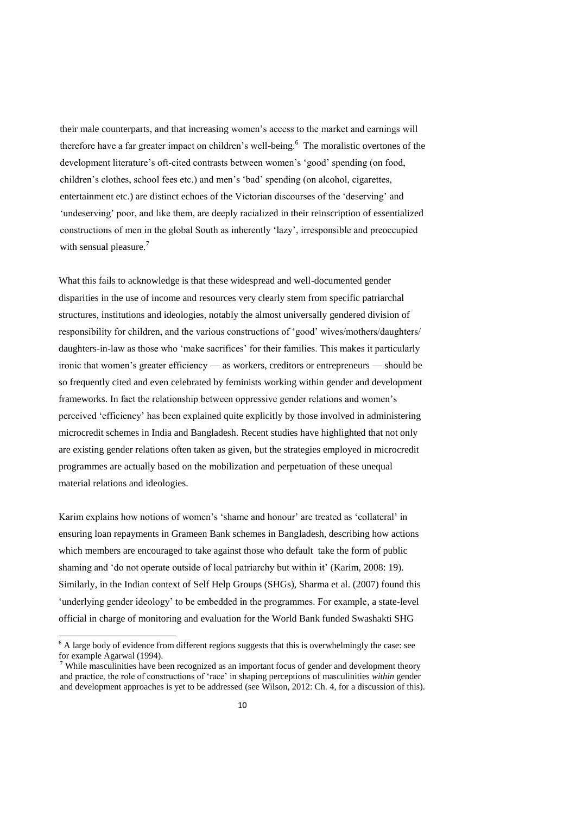their male counterparts, and that increasing women's access to the market and earnings will therefore have a far greater impact on children's well-being. 6 The moralistic overtones of the development literature's oft-cited contrasts between women's 'good' spending (on food, children's clothes, school fees etc.) and men's 'bad' spending (on alcohol, cigarettes, entertainment etc.) are distinct echoes of the Victorian discourses of the 'deserving' and 'undeserving' poor, and like them, are deeply racialized in their reinscription of essentialized constructions of men in the global South as inherently 'lazy', irresponsible and preoccupied with sensual pleasure.<sup>7</sup>

What this fails to acknowledge is that these widespread and well-documented gender disparities in the use of income and resources very clearly stem from specific patriarchal structures, institutions and ideologies, notably the almost universally gendered division of responsibility for children, and the various constructions of 'good' wives/mothers/daughters/ daughters-in-law as those who 'make sacrifices' for their families. This makes it particularly ironic that women's greater efficiency — as workers, creditors or entrepreneurs — should be so frequently cited and even celebrated by feminists working within gender and development frameworks. In fact the relationship between oppressive gender relations and women's perceived 'efficiency' has been explained quite explicitly by those involved in administering microcredit schemes in India and Bangladesh. Recent studies have highlighted that not only are existing gender relations often taken as given, but the strategies employed in microcredit programmes are actually based on the mobilization and perpetuation of these unequal material relations and ideologies.

Karim explains how notions of women's 'shame and honour' are treated as 'collateral' in ensuring loan repayments in Grameen Bank schemes in Bangladesh, describing how actions which members are encouraged to take against those who default take the form of public shaming and 'do not operate outside of local patriarchy but within it' (Karim, 2008: 19). Similarly, in the Indian context of Self Help Groups (SHGs), Sharma et al. (2007) found this 'underlying gender ideology' to be embedded in the programmes. For example, a state-level official in charge of monitoring and evaluation for the World Bank funded Swashakti SHG

j

 $6$  A large body of evidence from different regions suggests that this is overwhelmingly the case: see for example Agarwal (1994).

<sup>&</sup>lt;sup>7</sup> While masculinities have been recognized as an important focus of gender and development theory and practice, the role of constructions of 'race' in shaping perceptions of masculinities *within* gender and development approaches is yet to be addressed (see Wilson, 2012: Ch. 4, for a discussion of this).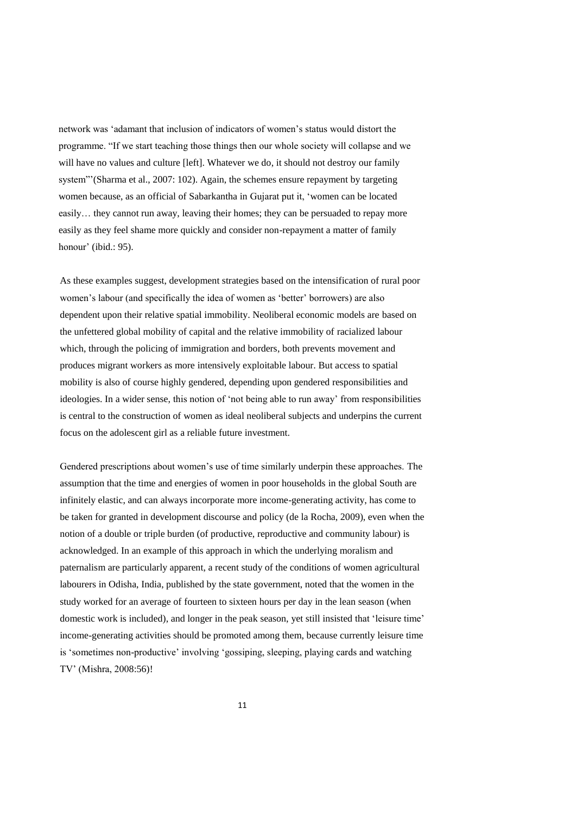network was 'adamant that inclusion of indicators of women's status would distort the programme. "If we start teaching those things then our whole society will collapse and we will have no values and culture [left]. Whatever we do, it should not destroy our family system"'(Sharma et al., 2007: 102). Again, the schemes ensure repayment by targeting women because, as an official of Sabarkantha in Gujarat put it, 'women can be located easily… they cannot run away, leaving their homes; they can be persuaded to repay more easily as they feel shame more quickly and consider non-repayment a matter of family honour' (ibid.: 95).

As these examples suggest, development strategies based on the intensification of rural poor women's labour (and specifically the idea of women as 'better' borrowers) are also dependent upon their relative spatial immobility. Neoliberal economic models are based on the unfettered global mobility of capital and the relative immobility of racialized labour which, through the policing of immigration and borders, both prevents movement and produces migrant workers as more intensively exploitable labour. But access to spatial mobility is also of course highly gendered, depending upon gendered responsibilities and ideologies. In a wider sense, this notion of 'not being able to run away' from responsibilities is central to the construction of women as ideal neoliberal subjects and underpins the current focus on the adolescent girl as a reliable future investment.

Gendered prescriptions about women's use of time similarly underpin these approaches. The assumption that the time and energies of women in poor households in the global South are infinitely elastic, and can always incorporate more income-generating activity, has come to be taken for granted in development discourse and policy (de la Rocha, 2009), even when the notion of a double or triple burden (of productive, reproductive and community labour) is acknowledged. In an example of this approach in which the underlying moralism and paternalism are particularly apparent, a recent study of the conditions of women agricultural labourers in Odisha, India, published by the state government, noted that the women in the study worked for an average of fourteen to sixteen hours per day in the lean season (when domestic work is included), and longer in the peak season, yet still insisted that 'leisure time' income-generating activities should be promoted among them, because currently leisure time is 'sometimes non-productive' involving 'gossiping, sleeping, playing cards and watching TV' (Mishra, 2008:56)!

11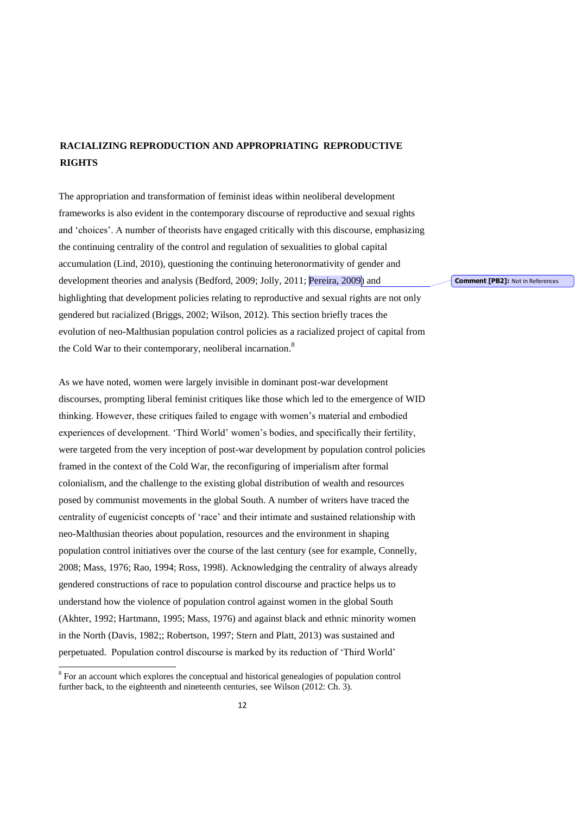# **RACIALIZING REPRODUCTION AND APPROPRIATING REPRODUCTIVE RIGHTS**

The appropriation and transformation of feminist ideas within neoliberal development frameworks is also evident in the contemporary discourse of reproductive and sexual rights and 'choices'. A number of theorists have engaged critically with this discourse, emphasizing the continuing centrality of the control and regulation of sexualities to global capital accumulation (Lind, 2010), questioning the continuing heteronormativity of gender and development theories and analysis (Bedford, 2009; Jolly, 2011; Pereira, 2009) and highlighting that development policies relating to reproductive and sexual rights are not only gendered but racialized (Briggs, 2002; Wilson, 2012). This section briefly traces the evolution of neo-Malthusian population control policies as a racialized project of capital from the Cold War to their contemporary, neoliberal incarnation.<sup>8</sup>

As we have noted, women were largely invisible in dominant post-war development discourses, prompting liberal feminist critiques like those which led to the emergence of WID thinking. However, these critiques failed to engage with women's material and embodied experiences of development. 'Third World' women's bodies, and specifically their fertility, were targeted from the very inception of post-war development by population control policies framed in the context of the Cold War, the reconfiguring of imperialism after formal colonialism, and the challenge to the existing global distribution of wealth and resources posed by communist movements in the global South. A number of writers have traced the centrality of eugenicist concepts of 'race' and their intimate and sustained relationship with neo-Malthusian theories about population, resources and the environment in shaping population control initiatives over the course of the last century (see for example, Connelly, 2008; Mass, 1976; Rao, 1994; Ross, 1998). Acknowledging the centrality of always already gendered constructions of race to population control discourse and practice helps us to understand how the violence of population control against women in the global South (Akhter, 1992; Hartmann, 1995; Mass, 1976) and against black and ethnic minority women in the North (Davis, 1982;; Robertson, 1997; Stern and Platt, 2013) was sustained and perpetuated. Population control discourse is marked by its reduction of 'Third World'

j

**Comment [PB2]:** Not in References

<sup>&</sup>lt;sup>8</sup> For an account which explores the conceptual and historical genealogies of population control further back, to the eighteenth and nineteenth centuries, see Wilson (2012: Ch. 3).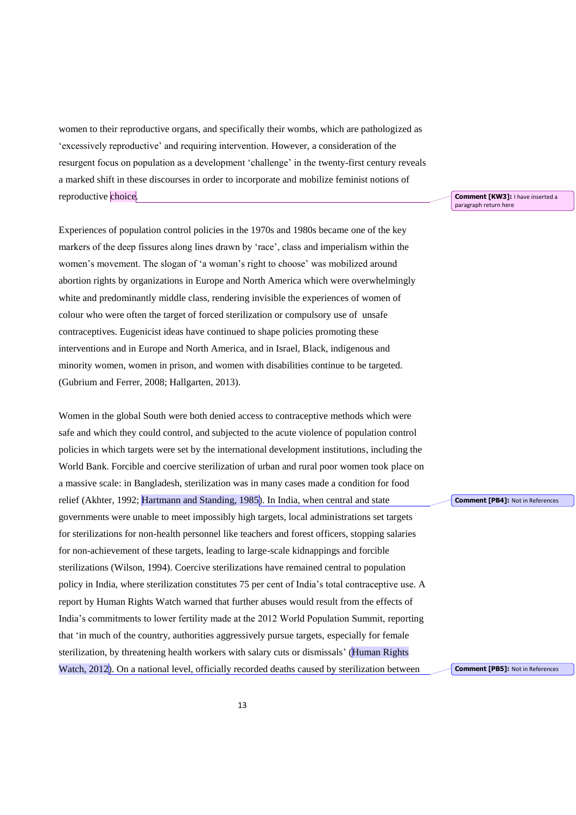women to their reproductive organs, and specifically their wombs, which are pathologized as 'excessively reproductive' and requiring intervention. However, a consideration of the resurgent focus on population as a development 'challenge' in the twenty-first century reveals a marked shift in these discourses in order to incorporate and mobilize feminist notions of reproductive choice.

Experiences of population control policies in the 1970s and 1980s became one of the key markers of the deep fissures along lines drawn by 'race', class and imperialism within the women's movement. The slogan of 'a woman's right to choose' was mobilized around abortion rights by organizations in Europe and North America which were overwhelmingly white and predominantly middle class, rendering invisible the experiences of women of colour who were often the target of forced sterilization or compulsory use of unsafe contraceptives. Eugenicist ideas have continued to shape policies promoting these interventions and in Europe and North America, and in Israel, Black, indigenous and minority women, women in prison, and women with disabilities continue to be targeted. (Gubrium and Ferrer, 2008; Hallgarten, 2013).

Women in the global South were both denied access to contraceptive methods which were safe and which they could control, and subjected to the acute violence of population control policies in which targets were set by the international development institutions, including the World Bank. Forcible and coercive sterilization of urban and rural poor women took place on a massive scale: in Bangladesh, sterilization was in many cases made a condition for food relief (Akhter, 1992; Hartmann and Standing, 1985). In India, when central and state governments were unable to meet impossibly high targets, local administrations set targets for sterilizations for non-health personnel like teachers and forest officers, stopping salaries for non-achievement of these targets, leading to large-scale kidnappings and forcible sterilizations (Wilson, 1994). Coercive sterilizations have remained central to population policy in India, where sterilization constitutes 75 per cent of India's total contraceptive use. A report by Human Rights Watch warned that further abuses would result from the effects of India's commitments to lower fertility made at the 2012 World Population Summit, reporting that 'in much of the country, authorities aggressively pursue targets, especially for female sterilization, by threatening health workers with salary cuts or dismissals' (Human Rights Watch, 2012). On a national level, officially recorded deaths caused by sterilization between **Comment [PB4]:** Not in References **Comment [PB5]:** Not in References

**Comment [KW3]:** I have inserted a paragraph return here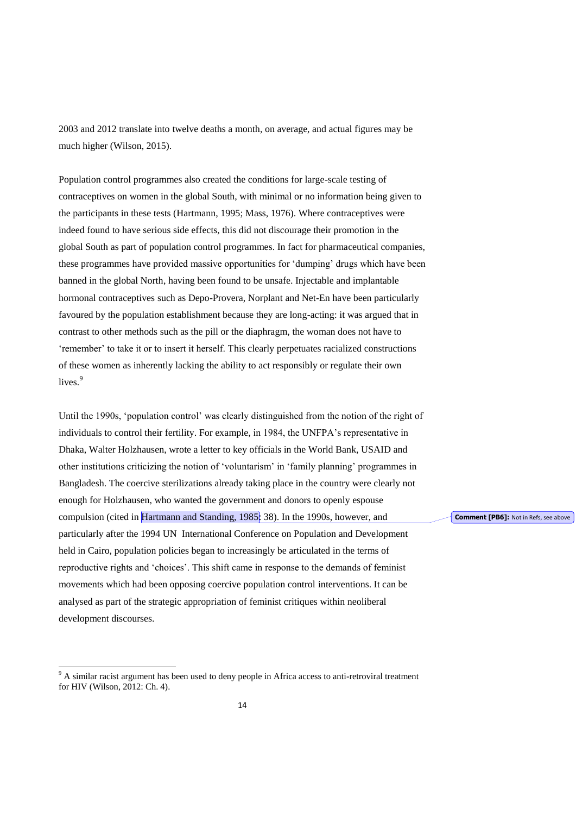2003 and 2012 translate into twelve deaths a month, on average, and actual figures may be much higher (Wilson, 2015).

Population control programmes also created the conditions for large-scale testing of contraceptives on women in the global South, with minimal or no information being given to the participants in these tests (Hartmann, 1995; Mass, 1976). Where contraceptives were indeed found to have serious side effects, this did not discourage their promotion in the global South as part of population control programmes. In fact for pharmaceutical companies, these programmes have provided massive opportunities for 'dumping' drugs which have been banned in the global North, having been found to be unsafe. Injectable and implantable hormonal contraceptives such as Depo-Provera, Norplant and Net-En have been particularly favoured by the population establishment because they are long-acting: it was argued that in contrast to other methods such as the pill or the diaphragm, the woman does not have to 'remember' to take it or to insert it herself. This clearly perpetuates racialized constructions of these women as inherently lacking the ability to act responsibly or regulate their own lives.<sup>9</sup>

Until the 1990s, 'population control' was clearly distinguished from the notion of the right of individuals to control their fertility. For example, in 1984, the UNFPA's representative in Dhaka, Walter Holzhausen, wrote a letter to key officials in the World Bank, USAID and other institutions criticizing the notion of 'voluntarism' in 'family planning' programmes in Bangladesh. The coercive sterilizations already taking place in the country were clearly not enough for Holzhausen, who wanted the government and donors to openly espouse compulsion (cited in Hartmann and Standing, 1985: 38). In the 1990s, however, and particularly after the 1994 UN International Conference on Population and Development held in Cairo, population policies began to increasingly be articulated in the terms of reproductive rights and 'choices'. This shift came in response to the demands of feminist movements which had been opposing coercive population control interventions. It can be analysed as part of the strategic appropriation of feminist critiques within neoliberal development discourses.

j

**Comment [PB6]:** Not in Refs, see above

<sup>&</sup>lt;sup>9</sup> A similar racist argument has been used to deny people in Africa access to anti-retroviral treatment for HIV (Wilson, 2012: Ch. 4).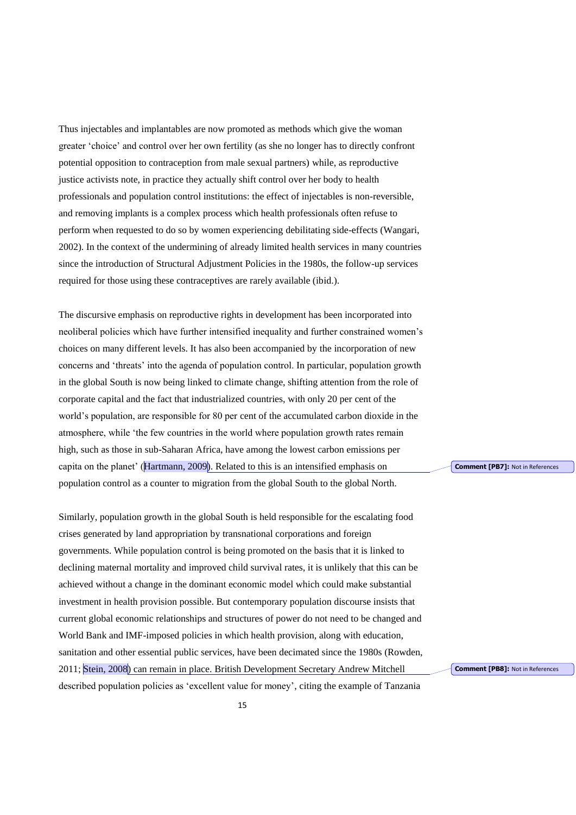Thus injectables and implantables are now promoted as methods which give the woman greater 'choice' and control over her own fertility (as she no longer has to directly confront potential opposition to contraception from male sexual partners) while, as reproductive justice activists note, in practice they actually shift control over her body to health professionals and population control institutions: the effect of injectables is non-reversible, and removing implants is a complex process which health professionals often refuse to perform when requested to do so by women experiencing debilitating side-effects (Wangari, 2002). In the context of the undermining of already limited health services in many countries since the introduction of Structural Adjustment Policies in the 1980s, the follow-up services required for those using these contraceptives are rarely available (ibid.).

The discursive emphasis on reproductive rights in development has been incorporated into neoliberal policies which have further intensified inequality and further constrained women's choices on many different levels. It has also been accompanied by the incorporation of new concerns and 'threats' into the agenda of population control. In particular, population growth in the global South is now being linked to climate change, shifting attention from the role of corporate capital and the fact that industrialized countries, with only 20 per cent of the world's population, are responsible for 80 per cent of the accumulated carbon dioxide in the atmosphere, while 'the few countries in the world where population growth rates remain high, such as those in sub-Saharan Africa, have among the lowest carbon emissions per capita on the planet' (Hartmann, 2009). Related to this is an intensified emphasis on population control as a counter to migration from the global South to the global North.

Similarly, population growth in the global South is held responsible for the escalating food crises generated by land appropriation by transnational corporations and foreign governments. While population control is being promoted on the basis that it is linked to declining maternal mortality and improved child survival rates, it is unlikely that this can be achieved without a change in the dominant economic model which could make substantial investment in health provision possible. But contemporary population discourse insists that current global economic relationships and structures of power do not need to be changed and World Bank and IMF-imposed policies in which health provision, along with education, sanitation and other essential public services, have been decimated since the 1980s (Rowden, 2011; Stein, 2008) can remain in place. British Development Secretary Andrew Mitchell described population policies as 'excellent value for money', citing the example of Tanzania **Comment [PB8]:** Not in References

**Comment [PB7]: Not in References**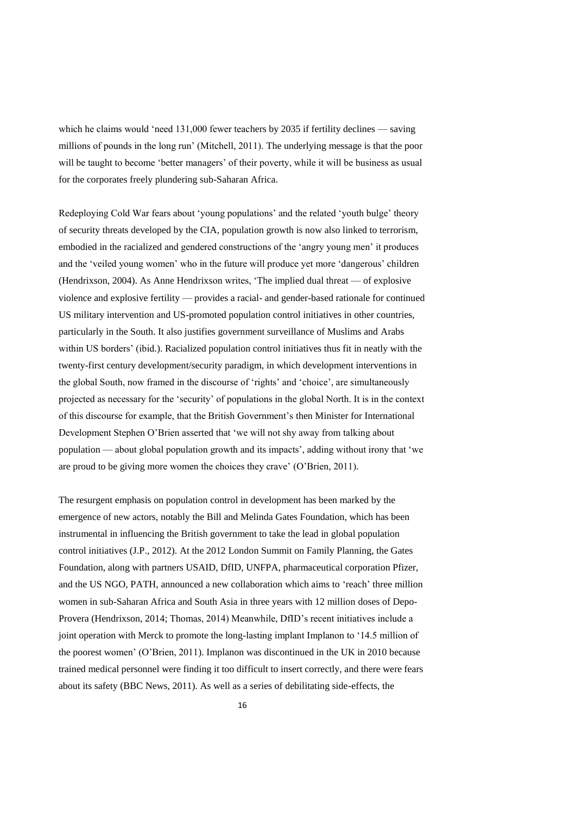which he claims would 'need 131,000 fewer teachers by 2035 if fertility declines — saving millions of pounds in the long run' (Mitchell, 2011). The underlying message is that the poor will be taught to become 'better managers' of their poverty, while it will be business as usual for the corporates freely plundering sub-Saharan Africa.

Redeploying Cold War fears about 'young populations' and the related 'youth bulge' theory of security threats developed by the CIA, population growth is now also linked to terrorism, embodied in the racialized and gendered constructions of the 'angry young men' it produces and the 'veiled young women' who in the future will produce yet more 'dangerous' children (Hendrixson, 2004). As Anne Hendrixson writes, 'The implied dual threat — of explosive violence and explosive fertility — provides a racial- and gender-based rationale for continued US military intervention and US-promoted population control initiatives in other countries, particularly in the South. It also justifies government surveillance of Muslims and Arabs within US borders' (ibid.). Racialized population control initiatives thus fit in neatly with the twenty-first century development/security paradigm, in which development interventions in the global South, now framed in the discourse of 'rights' and 'choice', are simultaneously projected as necessary for the 'security' of populations in the global North. It is in the context of this discourse for example, that the British Government's then Minister for International Development Stephen O'Brien asserted that 'we will not shy away from talking about population — about global population growth and its impacts', adding without irony that 'we are proud to be giving more women the choices they crave' (O'Brien, 2011).

The resurgent emphasis on population control in development has been marked by the emergence of new actors, notably the Bill and Melinda Gates Foundation, which has been instrumental in influencing the British government to take the lead in global population control initiatives (J.P., 2012). At the 2012 London Summit on Family Planning, the Gates Foundation, along with partners USAID, DfID, UNFPA, pharmaceutical corporation Pfizer, and the US NGO, PATH, announced a new collaboration which aims to 'reach' three million women in sub-Saharan Africa and South Asia in three years with 12 million doses of Depo-Provera (Hendrixson, 2014; Thomas, 2014) Meanwhile, DfID's recent initiatives include a joint operation with Merck to promote the long-lasting implant Implanon to '14.5 million of the poorest women' (O'Brien, 2011). Implanon was discontinued in the UK in 2010 because trained medical personnel were finding it too difficult to insert correctly, and there were fears about its safety (BBC News, 2011). As well as a series of debilitating side-effects, the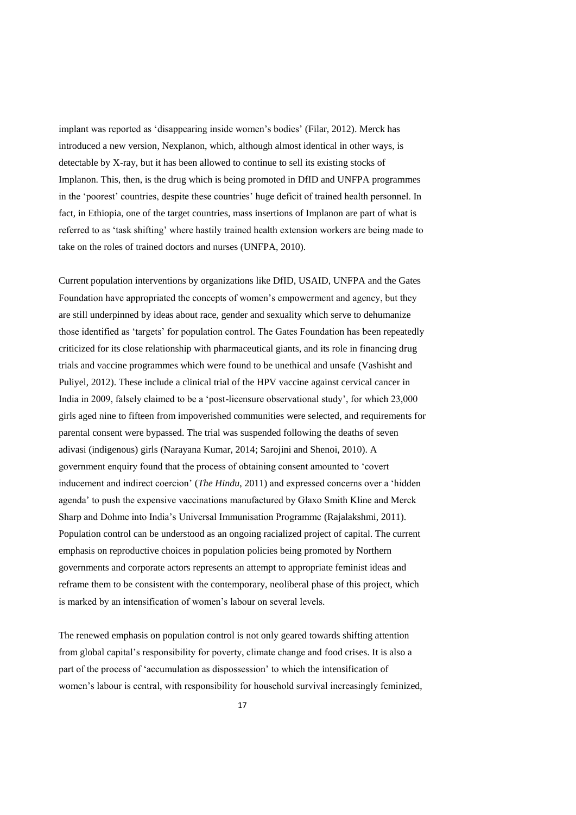implant was reported as 'disappearing inside women's bodies' (Filar, 2012). Merck has introduced a new version, Nexplanon, which, although almost identical in other ways, is detectable by X-ray, but it has been allowed to continue to sell its existing stocks of Implanon. This, then, is the drug which is being promoted in DfID and UNFPA programmes in the 'poorest' countries, despite these countries' huge deficit of trained health personnel. In fact, in Ethiopia, one of the target countries, mass insertions of Implanon are part of what is referred to as 'task shifting' where hastily trained health extension workers are being made to take on the roles of trained doctors and nurses (UNFPA, 2010).

Current population interventions by organizations like DfID, USAID, UNFPA and the Gates Foundation have appropriated the concepts of women's empowerment and agency, but they are still underpinned by ideas about race, gender and sexuality which serve to dehumanize those identified as 'targets' for population control. The Gates Foundation has been repeatedly criticized for its close relationship with pharmaceutical giants, and its role in financing drug trials and vaccine programmes which were found to be unethical and unsafe (Vashisht and Puliyel, 2012). These include a clinical trial of the HPV vaccine against cervical cancer in India in 2009, falsely claimed to be a 'post-licensure observational study', for which 23,000 girls aged nine to fifteen from impoverished communities were selected, and requirements for parental consent were bypassed. The trial was suspended following the deaths of seven adivasi (indigenous) girls (Narayana Kumar, 2014; Sarojini and Shenoi, 2010). A government enquiry found that the process of obtaining consent amounted to 'covert inducement and indirect coercion' (*The Hindu*, 2011) and expressed concerns over a 'hidden agenda' to push the expensive vaccinations manufactured by Glaxo Smith Kline and Merck Sharp and Dohme into India's Universal Immunisation Programme (Rajalakshmi, 2011). Population control can be understood as an ongoing racialized project of capital. The current emphasis on reproductive choices in population policies being promoted by Northern governments and corporate actors represents an attempt to appropriate feminist ideas and reframe them to be consistent with the contemporary, neoliberal phase of this project, which is marked by an intensification of women's labour on several levels.

The renewed emphasis on population control is not only geared towards shifting attention from global capital's responsibility for poverty, climate change and food crises. It is also a part of the process of 'accumulation as dispossession' to which the intensification of women's labour is central, with responsibility for household survival increasingly feminized,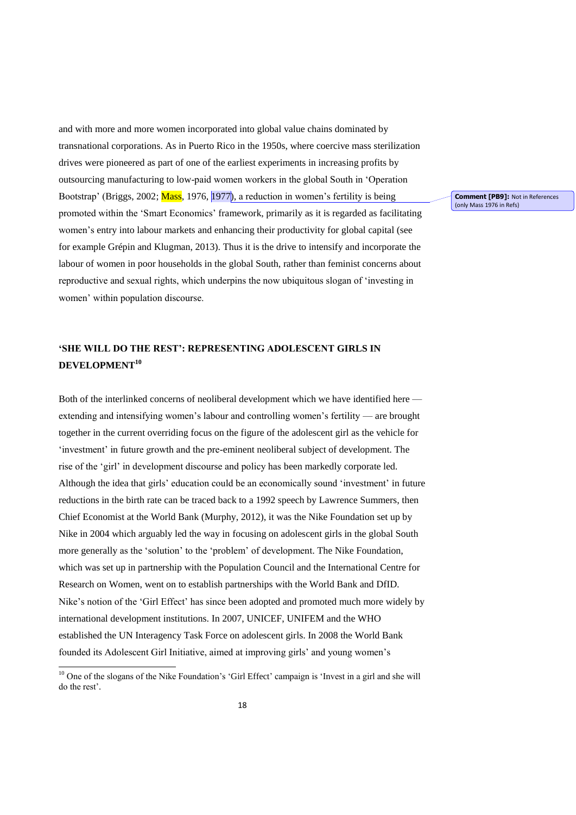and with more and more women incorporated into global value chains dominated by transnational corporations. As in Puerto Rico in the 1950s, where coercive mass sterilization drives were pioneered as part of one of the earliest experiments in increasing profits by outsourcing manufacturing to low-paid women workers in the global South in 'Operation Bootstrap' (Briggs, 2002; Mass, 1976, 1977), a reduction in women's fertility is being promoted within the 'Smart Economics' framework, primarily as it is regarded as facilitating women's entry into labour markets and enhancing their productivity for global capital (see for example Grépin and Klugman, 2013). Thus it is the drive to intensify and incorporate the labour of women in poor households in the global South, rather than feminist concerns about reproductive and sexual rights, which underpins the now ubiquitous slogan of 'investing in women' within population discourse.

## **'SHE WILL DO THE REST': REPRESENTING ADOLESCENT GIRLS IN DEVELOPMENT<sup>10</sup>**

Both of the interlinked concerns of neoliberal development which we have identified here extending and intensifying women's labour and controlling women's fertility — are brought together in the current overriding focus on the figure of the adolescent girl as the vehicle for 'investment' in future growth and the pre-eminent neoliberal subject of development. The rise of the 'girl' in development discourse and policy has been markedly corporate led. Although the idea that girls' education could be an economically sound 'investment' in future reductions in the birth rate can be traced back to a 1992 speech by Lawrence Summers, then Chief Economist at the World Bank (Murphy, 2012), it was the Nike Foundation set up by Nike in 2004 which arguably led the way in focusing on adolescent girls in the global South more generally as the 'solution' to the 'problem' of development. The Nike Foundation, which was set up in partnership with the Population Council and the International Centre for Research on Women, went on to establish partnerships with the World Bank and DfID. Nike's notion of the 'Girl Effect' has since been adopted and promoted much more widely by international development institutions. In 2007, UNICEF, UNIFEM and the WHO established the UN Interagency Task Force on adolescent girls. In 2008 the World Bank founded its Adolescent Girl Initiative, aimed at improving girls' and young women's

j

**Comment [PB9]:** Not in References (only Mass 1976 in Refs)

<sup>&</sup>lt;sup>10</sup> One of the slogans of the Nike Foundation's 'Girl Effect' campaign is 'Invest in a girl and she will do the rest'.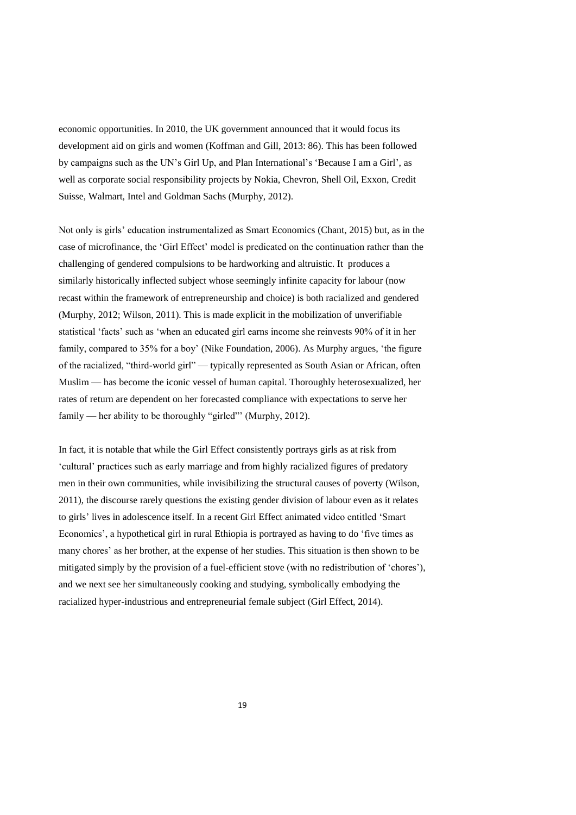economic opportunities. In 2010, the UK government announced that it would focus its development aid on girls and women (Koffman and Gill, 2013: 86). This has been followed by campaigns such as the UN's Girl Up, and Plan International's 'Because I am a Girl', as well as corporate social responsibility projects by Nokia, Chevron, Shell Oil, Exxon, Credit Suisse, Walmart, Intel and Goldman Sachs (Murphy, 2012).

Not only is girls' education instrumentalized as Smart Economics (Chant, 2015) but, as in the case of microfinance, the 'Girl Effect' model is predicated on the continuation rather than the challenging of gendered compulsions to be hardworking and altruistic. It produces a similarly historically inflected subject whose seemingly infinite capacity for labour (now recast within the framework of entrepreneurship and choice) is both racialized and gendered (Murphy, 2012; Wilson, 2011). This is made explicit in the mobilization of unverifiable statistical 'facts' such as 'when an educated girl earns income she reinvests 90% of it in her family, compared to 35% for a boy' (Nike Foundation, 2006). As Murphy argues, 'the figure of the racialized, "third-world girl" — typically represented as South Asian or African, often Muslim — has become the iconic vessel of human capital. Thoroughly heterosexualized, her rates of return are dependent on her forecasted compliance with expectations to serve her family — her ability to be thoroughly "girled" (Murphy, 2012).

In fact, it is notable that while the Girl Effect consistently portrays girls as at risk from 'cultural' practices such as early marriage and from highly racialized figures of predatory men in their own communities, while invisibilizing the structural causes of poverty (Wilson, 2011), the discourse rarely questions the existing gender division of labour even as it relates to girls' lives in adolescence itself. In a recent Girl Effect animated video entitled 'Smart Economics', a hypothetical girl in rural Ethiopia is portrayed as having to do 'five times as many chores' as her brother, at the expense of her studies. This situation is then shown to be mitigated simply by the provision of a fuel-efficient stove (with no redistribution of 'chores'), and we next see her simultaneously cooking and studying, symbolically embodying the racialized hyper-industrious and entrepreneurial female subject (Girl Effect, 2014).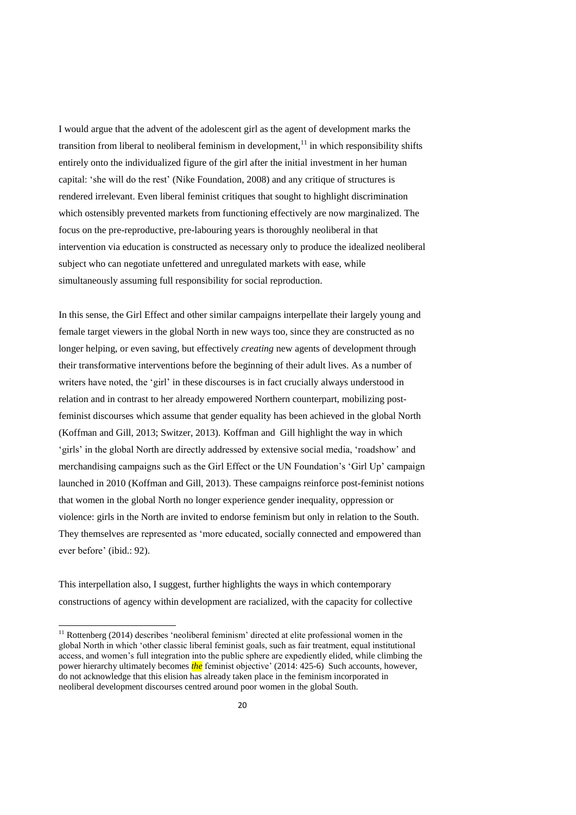I would argue that the advent of the adolescent girl as the agent of development marks the transition from liberal to neoliberal feminism in development, $11$  in which responsibility shifts entirely onto the individualized figure of the girl after the initial investment in her human capital: 'she will do the rest' (Nike Foundation, 2008) and any critique of structures is rendered irrelevant. Even liberal feminist critiques that sought to highlight discrimination which ostensibly prevented markets from functioning effectively are now marginalized. The focus on the pre-reproductive, pre-labouring years is thoroughly neoliberal in that intervention via education is constructed as necessary only to produce the idealized neoliberal subject who can negotiate unfettered and unregulated markets with ease, while simultaneously assuming full responsibility for social reproduction.

In this sense, the Girl Effect and other similar campaigns interpellate their largely young and female target viewers in the global North in new ways too, since they are constructed as no longer helping, or even saving, but effectively *creating* new agents of development through their transformative interventions before the beginning of their adult lives. As a number of writers have noted, the 'girl' in these discourses is in fact crucially always understood in relation and in contrast to her already empowered Northern counterpart, mobilizing postfeminist discourses which assume that gender equality has been achieved in the global North (Koffman and Gill, 2013; Switzer, 2013). Koffman and Gill highlight the way in which 'girls' in the global North are directly addressed by extensive social media, 'roadshow' and merchandising campaigns such as the Girl Effect or the UN Foundation's 'Girl Up' campaign launched in 2010 (Koffman and Gill, 2013). These campaigns reinforce post-feminist notions that women in the global North no longer experience gender inequality, oppression or violence: girls in the North are invited to endorse feminism but only in relation to the South. They themselves are represented as 'more educated, socially connected and empowered than ever before' (ibid.: 92).

This interpellation also, I suggest, further highlights the ways in which contemporary constructions of agency within development are racialized, with the capacity for collective

 $\overline{a}$ 

<sup>&</sup>lt;sup>11</sup> Rottenberg (2014) describes 'neoliberal feminism' directed at elite professional women in the global North in which 'other classic liberal feminist goals, such as fair treatment, equal institutional access, and women's full integration into the public sphere are expediently elided, while climbing the power hierarchy ultimately becomes *the* feminist objective' (2014: 425-6) Such accounts, however, do not acknowledge that this elision has already taken place in the feminism incorporated in neoliberal development discourses centred around poor women in the global South.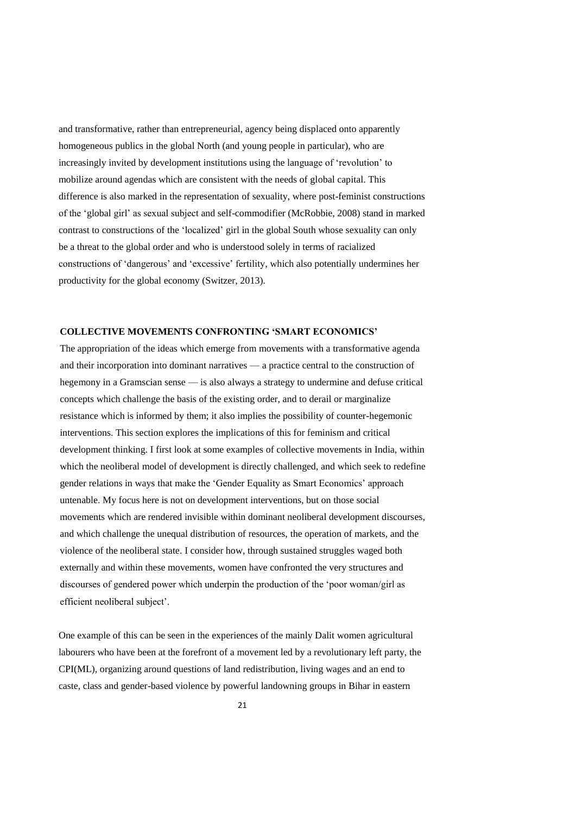and transformative, rather than entrepreneurial, agency being displaced onto apparently homogeneous publics in the global North (and young people in particular), who are increasingly invited by development institutions using the language of 'revolution' to mobilize around agendas which are consistent with the needs of global capital. This difference is also marked in the representation of sexuality, where post-feminist constructions of the 'global girl' as sexual subject and self-commodifier (McRobbie, 2008) stand in marked contrast to constructions of the 'localized' girl in the global South whose sexuality can only be a threat to the global order and who is understood solely in terms of racialized constructions of 'dangerous' and 'excessive' fertility, which also potentially undermines her productivity for the global economy (Switzer, 2013).

#### **COLLECTIVE MOVEMENTS CONFRONTING 'SMART ECONOMICS'**

The appropriation of the ideas which emerge from movements with a transformative agenda and their incorporation into dominant narratives — a practice central to the construction of hegemony in a Gramscian sense — is also always a strategy to undermine and defuse critical concepts which challenge the basis of the existing order, and to derail or marginalize resistance which is informed by them; it also implies the possibility of counter-hegemonic interventions. This section explores the implications of this for feminism and critical development thinking. I first look at some examples of collective movements in India, within which the neoliberal model of development is directly challenged, and which seek to redefine gender relations in ways that make the 'Gender Equality as Smart Economics' approach untenable. My focus here is not on development interventions, but on those social movements which are rendered invisible within dominant neoliberal development discourses, and which challenge the unequal distribution of resources, the operation of markets, and the violence of the neoliberal state. I consider how, through sustained struggles waged both externally and within these movements, women have confronted the very structures and discourses of gendered power which underpin the production of the 'poor woman/girl as efficient neoliberal subject'.

One example of this can be seen in the experiences of the mainly Dalit women agricultural labourers who have been at the forefront of a movement led by a revolutionary left party, the CPI(ML), organizing around questions of land redistribution, living wages and an end to caste, class and gender-based violence by powerful landowning groups in Bihar in eastern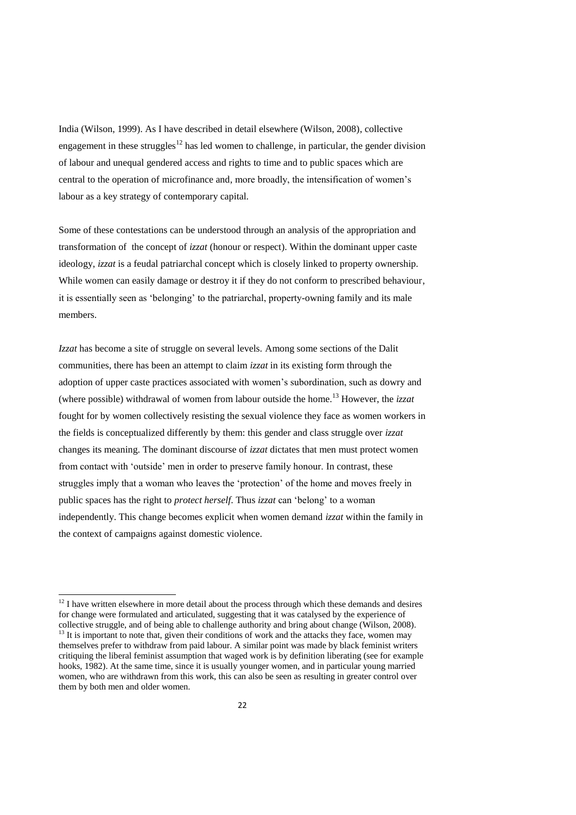India (Wilson, 1999). As I have described in detail elsewhere (Wilson, 2008), collective engagement in these struggles<sup>12</sup> has led women to challenge, in particular, the gender division of labour and unequal gendered access and rights to time and to public spaces which are central to the operation of microfinance and, more broadly, the intensification of women's labour as a key strategy of contemporary capital.

Some of these contestations can be understood through an analysis of the appropriation and transformation of the concept of *izzat* (honour or respect). Within the dominant upper caste ideology, *izzat* is a feudal patriarchal concept which is closely linked to property ownership. While women can easily damage or destroy it if they do not conform to prescribed behaviour, it is essentially seen as 'belonging' to the patriarchal, property-owning family and its male members.

*Izzat* has become a site of struggle on several levels. Among some sections of the Dalit communities, there has been an attempt to claim *izzat* in its existing form through the adoption of upper caste practices associated with women's subordination, such as dowry and (where possible) withdrawal of women from labour outside the home. <sup>13</sup> However, the *izzat* fought for by women collectively resisting the sexual violence they face as women workers in the fields is conceptualized differently by them: this gender and class struggle over *izzat*  changes its meaning. The dominant discourse of *izzat* dictates that men must protect women from contact with 'outside' men in order to preserve family honour. In contrast, these struggles imply that a woman who leaves the 'protection' of the home and moves freely in public spaces has the right to *protect herself*. Thus *izzat* can 'belong' to a woman independently. This change becomes explicit when women demand *izzat* within the family in the context of campaigns against domestic violence.

 $\overline{a}$ 

 $12$  I have written elsewhere in more detail about the process through which these demands and desires for change were formulated and articulated, suggesting that it was catalysed by the experience of collective struggle, and of being able to challenge authority and bring about change (Wilson, 2008).  $13$  It is important to note that, given their conditions of work and the attacks they face, women may themselves prefer to withdraw from paid labour. A similar point was made by black feminist writers critiquing the liberal feminist assumption that waged work is by definition liberating (see for example hooks, 1982). At the same time, since it is usually younger women, and in particular young married women, who are withdrawn from this work, this can also be seen as resulting in greater control over them by both men and older women.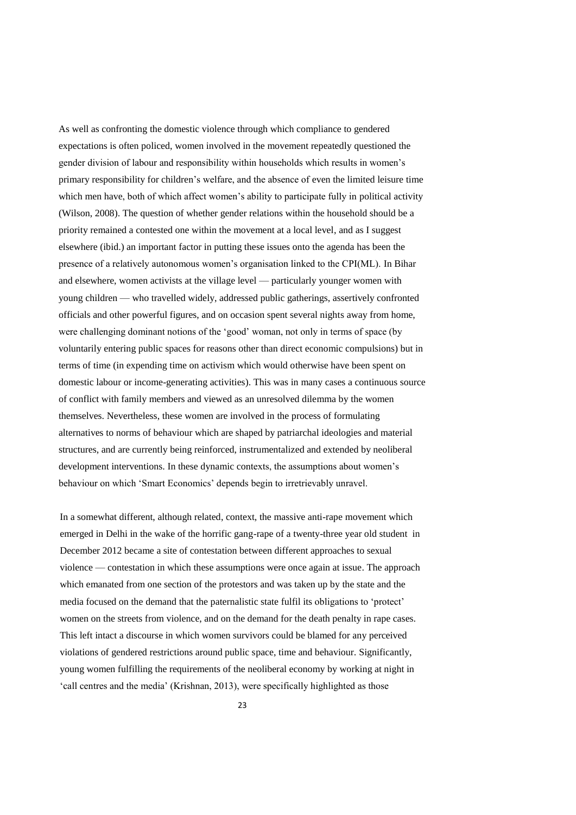As well as confronting the domestic violence through which compliance to gendered expectations is often policed, women involved in the movement repeatedly questioned the gender division of labour and responsibility within households which results in women's primary responsibility for children's welfare, and the absence of even the limited leisure time which men have, both of which affect women's ability to participate fully in political activity (Wilson, 2008). The question of whether gender relations within the household should be a priority remained a contested one within the movement at a local level, and as I suggest elsewhere (ibid.) an important factor in putting these issues onto the agenda has been the presence of a relatively autonomous women's organisation linked to the CPI(ML). In Bihar and elsewhere, women activists at the village level — particularly younger women with young children — who travelled widely, addressed public gatherings, assertively confronted officials and other powerful figures, and on occasion spent several nights away from home, were challenging dominant notions of the 'good' woman, not only in terms of space (by voluntarily entering public spaces for reasons other than direct economic compulsions) but in terms of time (in expending time on activism which would otherwise have been spent on domestic labour or income-generating activities). This was in many cases a continuous source of conflict with family members and viewed as an unresolved dilemma by the women themselves. Nevertheless, these women are involved in the process of formulating alternatives to norms of behaviour which are shaped by patriarchal ideologies and material structures, and are currently being reinforced, instrumentalized and extended by neoliberal development interventions. In these dynamic contexts, the assumptions about women's behaviour on which 'Smart Economics' depends begin to irretrievably unravel.

In a somewhat different, although related, context, the massive anti-rape movement which emerged in Delhi in the wake of the horrific gang-rape of a twenty-three year old student in December 2012 became a site of contestation between different approaches to sexual violence — contestation in which these assumptions were once again at issue. The approach which emanated from one section of the protestors and was taken up by the state and the media focused on the demand that the paternalistic state fulfil its obligations to 'protect' women on the streets from violence, and on the demand for the death penalty in rape cases. This left intact a discourse in which women survivors could be blamed for any perceived violations of gendered restrictions around public space, time and behaviour. Significantly, young women fulfilling the requirements of the neoliberal economy by working at night in 'call centres and the media' (Krishnan, 2013), were specifically highlighted as those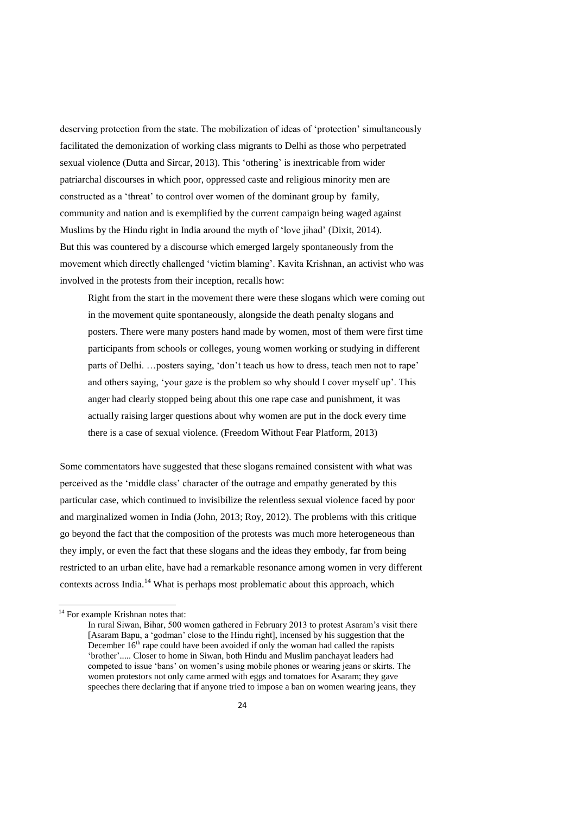deserving protection from the state. The mobilization of ideas of 'protection' simultaneously facilitated the demonization of working class migrants to Delhi as those who perpetrated sexual violence (Dutta and Sircar, 2013). This 'othering' is inextricable from wider patriarchal discourses in which poor, oppressed caste and religious minority men are constructed as a 'threat' to control over women of the dominant group by family, community and nation and is exemplified by the current campaign being waged against Muslims by the Hindu right in India around the myth of 'love jihad' (Dixit, 2014). But this was countered by a discourse which emerged largely spontaneously from the movement which directly challenged 'victim blaming'. Kavita Krishnan, an activist who was involved in the protests from their inception, recalls how:

Right from the start in the movement there were these slogans which were coming out in the movement quite spontaneously, alongside the death penalty slogans and posters. There were many posters hand made by women, most of them were first time participants from schools or colleges, young women working or studying in different parts of Delhi. …posters saying, 'don't teach us how to dress, teach men not to rape' and others saying, 'your gaze is the problem so why should I cover myself up'. This anger had clearly stopped being about this one rape case and punishment, it was actually raising larger questions about why women are put in the dock every time there is a case of sexual violence. (Freedom Without Fear Platform, 2013)

Some commentators have suggested that these slogans remained consistent with what was perceived as the 'middle class' character of the outrage and empathy generated by this particular case, which continued to invisibilize the relentless sexual violence faced by poor and marginalized women in India (John, 2013; Roy, 2012). The problems with this critique go beyond the fact that the composition of the protests was much more heterogeneous than they imply, or even the fact that these slogans and the ideas they embody, far from being restricted to an urban elite, have had a remarkable resonance among women in very different contexts across India.<sup>14</sup> What is perhaps most problematic about this approach, which

 $\overline{a}$ 

<sup>&</sup>lt;sup>14</sup> For example Krishnan notes that:

In rural Siwan, Bihar, 500 women gathered in February 2013 to protest Asaram's visit there [Asaram Bapu, a 'godman' close to the Hindu right], incensed by his suggestion that the December  $16<sup>th</sup>$  rape could have been avoided if only the woman had called the rapists 'brother'..... Closer to home in Siwan, both Hindu and Muslim panchayat leaders had competed to issue 'bans' on women's using mobile phones or wearing jeans or skirts. The women protestors not only came armed with eggs and tomatoes for Asaram; they gave speeches there declaring that if anyone tried to impose a ban on women wearing jeans, they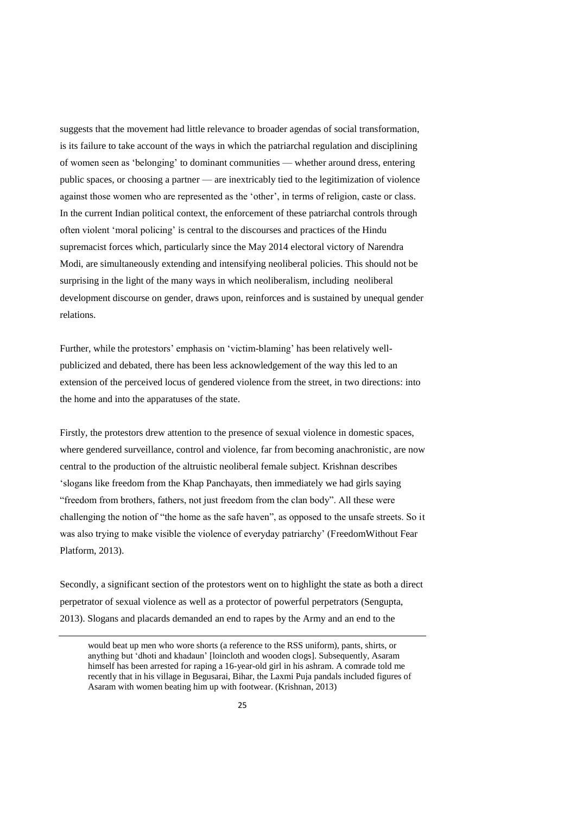suggests that the movement had little relevance to broader agendas of social transformation, is its failure to take account of the ways in which the patriarchal regulation and disciplining of women seen as 'belonging' to dominant communities — whether around dress, entering public spaces, or choosing a partner — are inextricably tied to the legitimization of violence against those women who are represented as the 'other', in terms of religion, caste or class. In the current Indian political context, the enforcement of these patriarchal controls through often violent 'moral policing' is central to the discourses and practices of the Hindu supremacist forces which, particularly since the May 2014 electoral victory of Narendra Modi, are simultaneously extending and intensifying neoliberal policies. This should not be surprising in the light of the many ways in which neoliberalism, including neoliberal development discourse on gender, draws upon, reinforces and is sustained by unequal gender relations.

Further, while the protestors' emphasis on 'victim-blaming' has been relatively wellpublicized and debated, there has been less acknowledgement of the way this led to an extension of the perceived locus of gendered violence from the street, in two directions: into the home and into the apparatuses of the state.

Firstly, the protestors drew attention to the presence of sexual violence in domestic spaces, where gendered surveillance, control and violence, far from becoming anachronistic, are now central to the production of the altruistic neoliberal female subject. Krishnan describes 'slogans like freedom from the Khap Panchayats, then immediately we had girls saying "freedom from brothers, fathers, not just freedom from the clan body". All these were challenging the notion of "the home as the safe haven", as opposed to the unsafe streets. So it was also trying to make visible the violence of everyday patriarchy' (FreedomWithout Fear Platform, 2013).

Secondly, a significant section of the protestors went on to highlight the state as both a direct perpetrator of sexual violence as well as a protector of powerful perpetrators (Sengupta, 2013). Slogans and placards demanded an end to rapes by the Army and an end to the

j

would beat up men who wore shorts (a reference to the RSS uniform), pants, shirts, or anything but 'dhoti and khadaun' [loincloth and wooden clogs]. Subsequently, Asaram himself has been arrested for raping a 16-year-old girl in his ashram. A comrade told me recently that in his village in Begusarai, Bihar, the Laxmi Puja pandals included figures of Asaram with women beating him up with footwear. (Krishnan, 2013)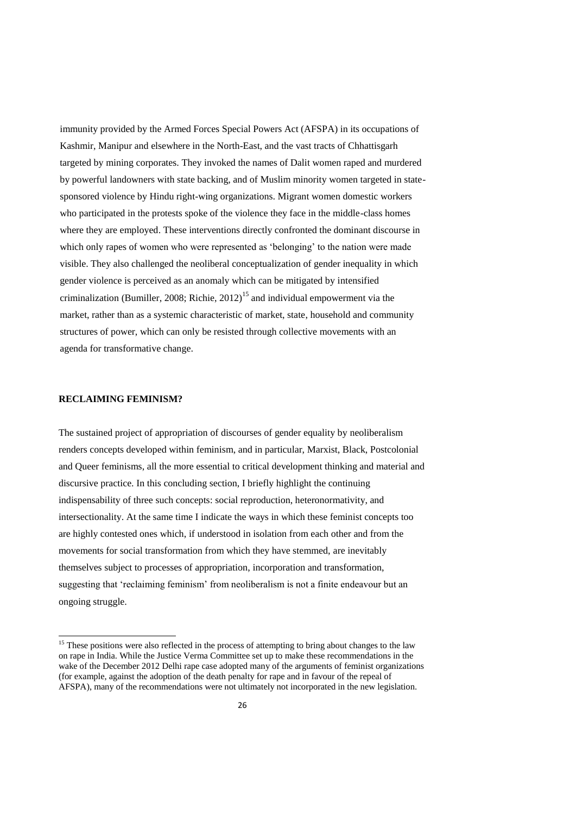immunity provided by the Armed Forces Special Powers Act (AFSPA) in its occupations of Kashmir, Manipur and elsewhere in the North-East, and the vast tracts of Chhattisgarh targeted by mining corporates. They invoked the names of Dalit women raped and murdered by powerful landowners with state backing, and of Muslim minority women targeted in statesponsored violence by Hindu right-wing organizations. Migrant women domestic workers who participated in the protests spoke of the violence they face in the middle-class homes where they are employed. These interventions directly confronted the dominant discourse in which only rapes of women who were represented as 'belonging' to the nation were made visible. They also challenged the neoliberal conceptualization of gender inequality in which gender violence is perceived as an anomaly which can be mitigated by intensified criminalization (Bumiller, 2008; Richie, 2012) <sup>15</sup> and individual empowerment via the market, rather than as a systemic characteristic of market, state, household and community structures of power, which can only be resisted through collective movements with an agenda for transformative change.

#### **RECLAIMING FEMINISM?**

j

The sustained project of appropriation of discourses of gender equality by neoliberalism renders concepts developed within feminism, and in particular, Marxist, Black, Postcolonial and Queer feminisms, all the more essential to critical development thinking and material and discursive practice. In this concluding section, I briefly highlight the continuing indispensability of three such concepts: social reproduction, heteronormativity, and intersectionality. At the same time I indicate the ways in which these feminist concepts too are highly contested ones which, if understood in isolation from each other and from the movements for social transformation from which they have stemmed, are inevitably themselves subject to processes of appropriation, incorporation and transformation, suggesting that 'reclaiming feminism' from neoliberalism is not a finite endeavour but an ongoing struggle.

<sup>&</sup>lt;sup>15</sup> These positions were also reflected in the process of attempting to bring about changes to the law on rape in India. While the Justice Verma Committee set up to make these recommendations in the wake of the December 2012 Delhi rape case adopted many of the arguments of feminist organizations (for example, against the adoption of the death penalty for rape and in favour of the repeal of AFSPA), many of the recommendations were not ultimately not incorporated in the new legislation.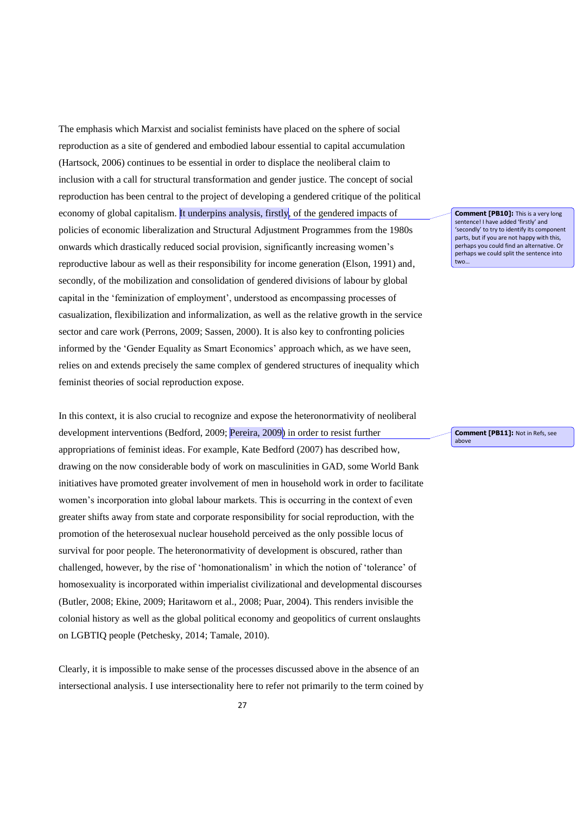The emphasis which Marxist and socialist feminists have placed on the sphere of social reproduction as a site of gendered and embodied labour essential to capital accumulation (Hartsock, 2006) continues to be essential in order to displace the neoliberal claim to inclusion with a call for structural transformation and gender justice. The concept of social reproduction has been central to the project of developing a gendered critique of the political economy of global capitalism. It underpins analysis, firstly, of the gendered impacts of policies of economic liberalization and Structural Adjustment Programmes from the 1980s onwards which drastically reduced social provision, significantly increasing women's reproductive labour as well as their responsibility for income generation (Elson, 1991) and, secondly, of the mobilization and consolidation of gendered divisions of labour by global capital in the 'feminization of employment', understood as encompassing processes of casualization, flexibilization and informalization, as well as the relative growth in the service sector and care work (Perrons, 2009; Sassen, 2000). It is also key to confronting policies informed by the 'Gender Equality as Smart Economics' approach which, as we have seen, relies on and extends precisely the same complex of gendered structures of inequality which feminist theories of social reproduction expose.

In this context, it is also crucial to recognize and expose the heteronormativity of neoliberal development interventions (Bedford, 2009; Pereira, 2009) in order to resist further appropriations of feminist ideas. For example, Kate Bedford (2007) has described how, drawing on the now considerable body of work on masculinities in GAD, some World Bank initiatives have promoted greater involvement of men in household work in order to facilitate women's incorporation into global labour markets. This is occurring in the context of even greater shifts away from state and corporate responsibility for social reproduction, with the promotion of the heterosexual nuclear household perceived as the only possible locus of survival for poor people. The heteronormativity of development is obscured, rather than challenged, however, by the rise of 'homonationalism' in which the notion of 'tolerance' of homosexuality is incorporated within imperialist civilizational and developmental discourses (Butler, 2008; Ekine, 2009; Haritaworn et al., 2008; Puar, 2004). This renders invisible the colonial history as well as the global political economy and geopolitics of current onslaughts on LGBTIQ people (Petchesky, 2014; Tamale, 2010).

Clearly, it is impossible to make sense of the processes discussed above in the absence of an intersectional analysis. I use intersectionality here to refer not primarily to the term coined by **Comment [PB10]:** This is a very long sentence! I have added 'firstly' and 'secondly' to try to identify its component parts, but if you are not happy with this, perhaps you could find an alternative. Or perhaps we could split the sentence into two…

**Comment [PB11]:** Not in Refs, see above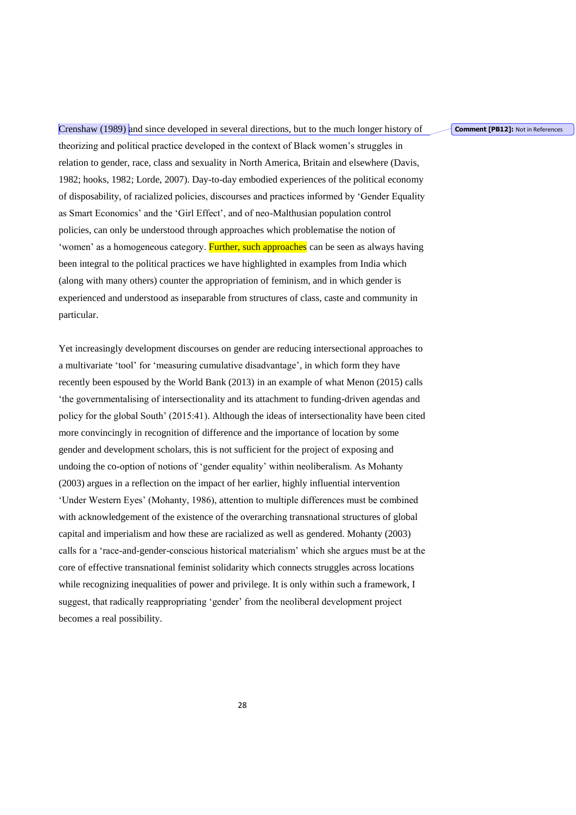Crenshaw (1989) and since developed in several directions, but to the much longer history of theorizing and political practice developed in the context of Black women's struggles in relation to gender, race, class and sexuality in North America, Britain and elsewhere (Davis, 1982; hooks, 1982; Lorde, 2007). Day-to-day embodied experiences of the political economy of disposability, of racialized policies, discourses and practices informed by 'Gender Equality as Smart Economics' and the 'Girl Effect', and of neo-Malthusian population control policies, can only be understood through approaches which problematise the notion of 'women' as a homogeneous category. Further, such approaches can be seen as always having been integral to the political practices we have highlighted in examples from India which (along with many others) counter the appropriation of feminism, and in which gender is experienced and understood as inseparable from structures of class, caste and community in particular.

Yet increasingly development discourses on gender are reducing intersectional approaches to a multivariate 'tool' for 'measuring cumulative disadvantage', in which form they have recently been espoused by the World Bank (2013) in an example of what Menon (2015) calls 'the governmentalising of intersectionality and its attachment to funding-driven agendas and policy for the global South' (2015:41). Although the ideas of intersectionality have been cited more convincingly in recognition of difference and the importance of location by some gender and development scholars, this is not sufficient for the project of exposing and undoing the co-option of notions of 'gender equality' within neoliberalism. As Mohanty (2003) argues in a reflection on the impact of her earlier, highly influential intervention 'Under Western Eyes' (Mohanty, 1986), attention to multiple differences must be combined with acknowledgement of the existence of the overarching transnational structures of global capital and imperialism and how these are racialized as well as gendered. Mohanty (2003) calls for a 'race-and-gender-conscious historical materialism' which she argues must be at the core of effective transnational feminist solidarity which connects struggles across locations while recognizing inequalities of power and privilege. It is only within such a framework, I suggest, that radically reappropriating 'gender' from the neoliberal development project becomes a real possibility.

**Comment [PB12]:** Not in References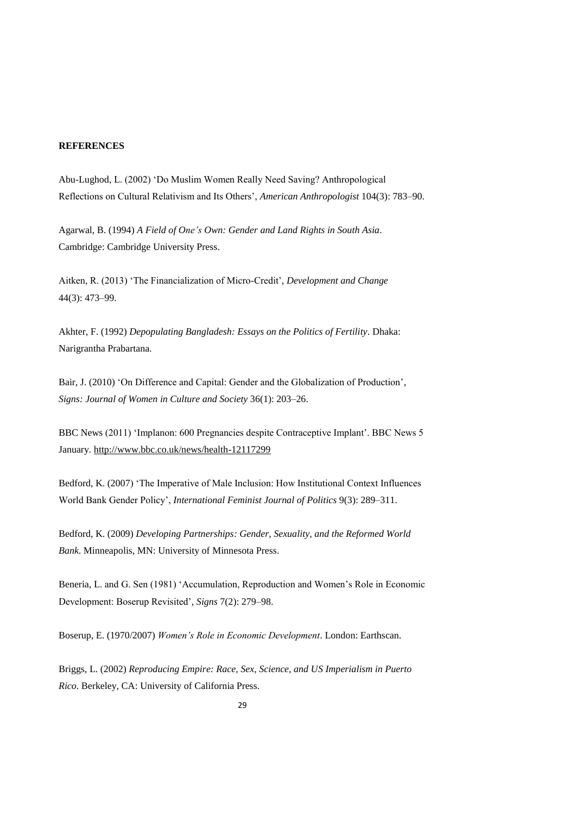#### **REFERENCES**

Abu-Lughod, L. (2002) 'Do Muslim Women Really Need Saving? Anthropological Reflections on Cultural Relativism and Its Others', *American Anthropologist* 104(3): 783–90.

Agarwal, B. (1994) *A Field of One's Own: Gender and Land Rights in South Asia*. Cambridge: Cambridge University Press.

Aitken, R. (2013) 'The Financialization of Micro-Credit', *Development and Change* 44(3): 473–99.

Akhter, F. (1992) *Depopulating Bangladesh: Essays on the Politics of Fertility*. Dhaka: Narigrantha Prabartana.

Bair, J. (2010) 'On Difference and Capital: Gender and the Globalization of Production', *Signs: Journal of Women in Culture and Society* 36(1): 203–26.

BBC News (2011) 'Implanon: 600 Pregnancies despite Contraceptive Implant'. BBC News 5 January.<http://www.bbc.co.uk/news/health-12117299>

Bedford, K. (2007) 'The Imperative of Male Inclusion: How Institutional Context Influences World Bank Gender Policy', *International Feminist Journal of Politics* 9(3): 289–311.

Bedford, K. (2009) *Developing Partnerships: Gender, Sexuality, and the Reformed World Bank*. Minneapolis, MN: University of Minnesota Press.

Beneria, L. and G. Sen (1981) 'Accumulation, Reproduction and Women's Role in Economic Development: Boserup Revisited', *Signs* 7(2): 279–98.

Boserup, E. (1970/2007) *Women's Role in Economic Development*. London: Earthscan.

Briggs, L. (2002) *Reproducing Empire: Race, Sex, Science, and US Imperialism in Puerto Rico*. Berkeley, CA: University of California Press.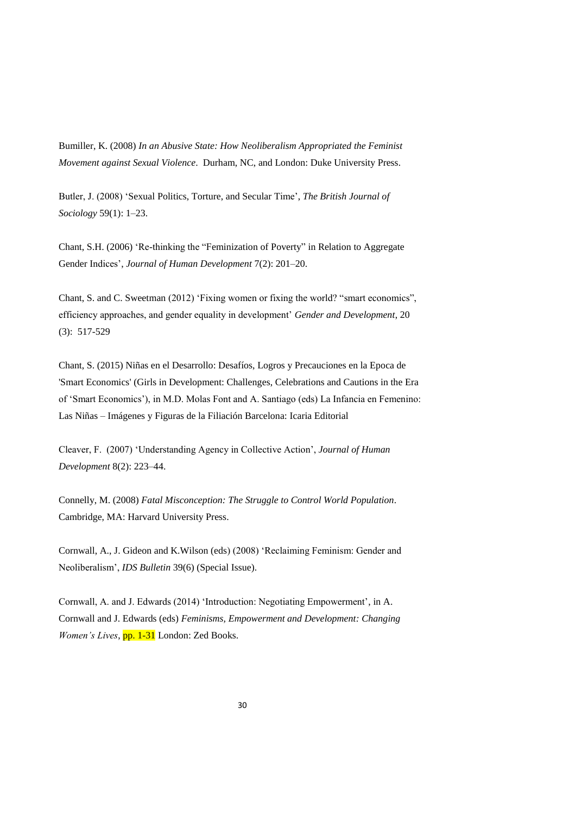Bumiller, K. (2008) *[In an Abusive State: How Neoliberalism Appropriated the Feminist](http://www.amazon.co.uk/gp/product/0822342391/ref=ox_sc_sfl_title_3?ie=UTF8&psc=1&smid=A3P5ROKL5A1OLE)  [Movement against Sexual Violence](http://www.amazon.co.uk/gp/product/0822342391/ref=ox_sc_sfl_title_3?ie=UTF8&psc=1&smid=A3P5ROKL5A1OLE)*. Durham, NC, and London: Duke University Press.

Butler, J. (2008) 'Sexual Politics, Torture, and Secular Time', *The British Journal of Sociology* 59(1): 1–23.

Chant, S.H. (2006) 'Re-thinking the "Feminization of Poverty" in Relation to Aggregate Gender Indices', *Journal of Human Development* 7(2): 201–20.

Chant, S. and C. Sweetman (2012) ['Fixing women or fixing the world? "smart economics",](http://eprints.lse.ac.uk/47586/)  [efficiency approaches, and gender equality in development'](http://eprints.lse.ac.uk/47586/) *Gender and Development*, 20 (3): 517-529

Chant, S. (2015) Niñas en el Desarrollo: Desafíos, Logros y Precauciones en la Epoca de 'Smart Economics' (Girls in Development: Challenges, Celebrations and Cautions in the Era of 'Smart Economics'), in M.D. Molas Font and A. Santiago (eds) La Infancia en Femenino: Las Niñas – Imágenes y Figuras de la Filiación Barcelona: Icaria Editorial

Cleaver, F. (2007) 'Understanding Agency in Collective Action', *Journal of Human Development* 8(2): 223–44.

Connelly, M. (2008) *Fatal Misconception: The Struggle to Control World Population*. Cambridge, MA: Harvard University Press.

Cornwall, A., J. Gideon and K.Wilson (eds) (2008) 'Reclaiming Feminism: Gender and Neoliberalism', *IDS Bulletin* 39(6) (Special Issue).

Cornwall, A. and J. Edwards (2014) 'Introduction: Negotiating Empowerment', in A. Cornwall and J. Edwards (eds) *Feminisms, Empowerment and Development: Changing Women's Lives*, pp. 1-31 London: Zed Books.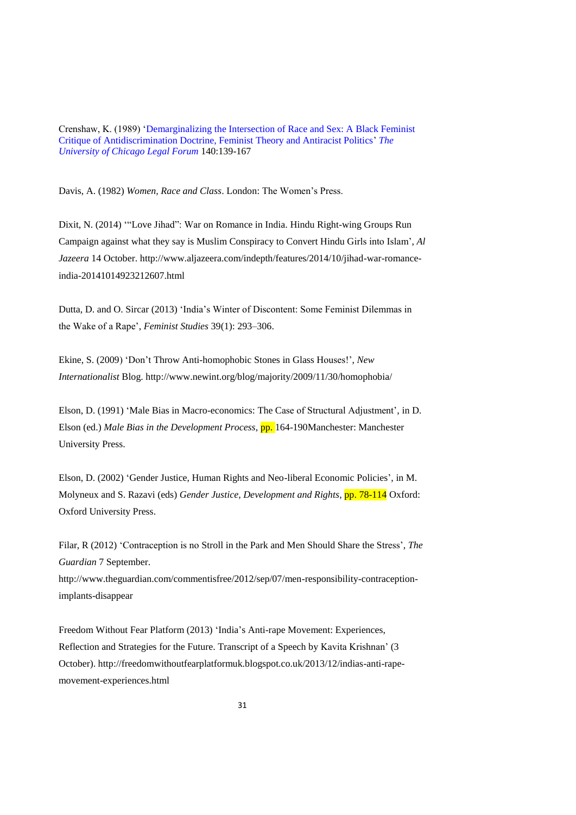Crenshaw, K. (1989) 'Demarginalizing [the Intersection of Race and Sex: A Black Feminist](http://philpapers.org/go.pl?id=CREDTI&proxyId=&u=http%3A%2F%2Fphilpapers.org%2Farchive%2FCREDTI.pdf)  [Critique of Antidiscrimination Doctrine, Feminist Theory and Antiracist Politics'](http://philpapers.org/go.pl?id=CREDTI&proxyId=&u=http%3A%2F%2Fphilpapers.org%2Farchive%2FCREDTI.pdf) *[The](http://philpapers.org/asearch.pl?pub=4230)  [University of Chicago Legal Forum](http://philpapers.org/asearch.pl?pub=4230)* 140:139-167

Davis, A. (1982) *Women, Race and Class*. London: The Women's Press.

Dixit, N. (2014) '"Love Jihad": War on Romance in India. Hindu Right-wing Groups Run Campaign against what they say is Muslim Conspiracy to Convert Hindu Girls into Islam', *Al Jazeera* 14 October. http://www.aljazeera.com/indepth/features/2014/10/jihad-war-romanceindia-20141014923212607.html

Dutta, D. and O. Sircar (2013) 'India's Winter of Discontent: Some Feminist Dilemmas in the Wake of a Rape', *Feminist Studies* 39(1): 293–306.

Ekine, S. (2009) 'Don't Throw Anti-homophobic Stones in Glass Houses!', *New Internationalist* Blog. http://www.newint.org/blog/majority/2009/11/30/homophobia/

Elson, D. (1991) 'Male Bias in Macro-economics: The Case of Structural Adjustment', in D. Elson (ed.) *Male Bias in the Development Process*, pp. 164-190Manchester: Manchester University Press.

Elson, D. (2002) ['Gender Justice, Human Rights and Neo-liberal Economic Policies'](http://www.ingentaconnect.com/content/oso/865537/2002/00000001/00000001/art00004), in M. Molyneux and S. Razavi (eds) *Gender Justice, Development and Rights*, pp. 78-114 Oxford: Oxford University Press.

Filar, R (2012) 'Contraception is no Stroll in the Park and Men Should Share the Stress', *The Guardian* 7 September. http://www.theguardian.com/commentisfree/2012/sep/07/men-responsibility-contraceptionimplants-disappear

Freedom Without Fear Platform (2013) 'India's Anti-rape Movement: Experiences, Reflection and Strategies for the Future. Transcript of a Speech by Kavita Krishnan' (3 October). http://freedomwithoutfearplatformuk.blogspot.co.uk/2013/12/indias-anti-rapemovement-experiences.html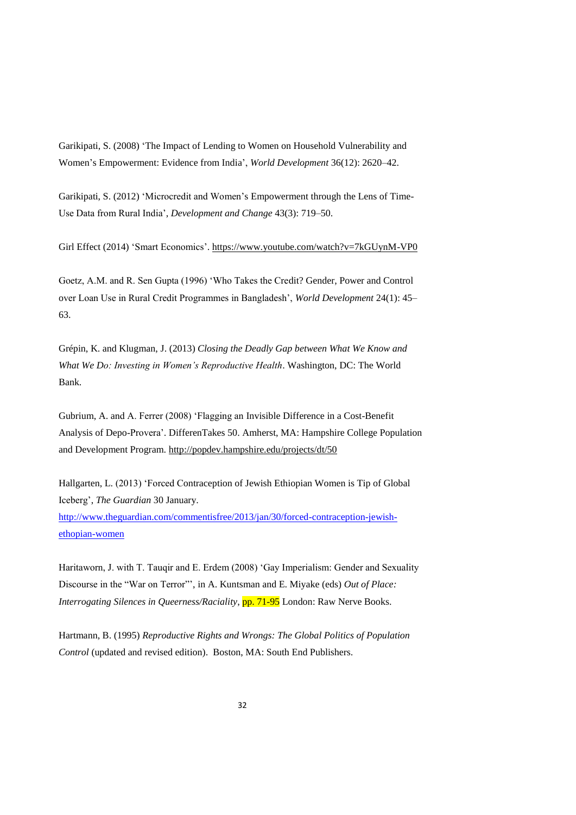Garikipati, S. (2008) 'The Impact of Lending to Women on Household Vulnerability and Women's Empowerment: Evidence from India', *World Development* 36(12): 2620–42.

Garikipati, S. (2012) 'Microcredit and Women's Empowerment through the Lens of Time-Use Data from Rural India', *Development and Change* 43(3): 719–50.

Girl Effect (2014) 'Smart Economics'. <https://www.youtube.com/watch?v=7kGUynM-VP0>

Goetz, A.M. and R. Sen Gupta (1996) 'Who Takes the Credit? Gender, Power and Control over Loan Use in Rural Credit Programmes in Bangladesh', *World Development* 24(1): 45– 63.

Grépin, K. and Klugman, J. (2013) *Closing the Deadly Gap between What We Know and What We Do: Investing in Women's Reproductive Health*. Washington, DC: The World Bank.

Gubrium, A. and A. Ferrer (2008) 'Flagging an Invisible Difference in a Cost-Benefit Analysis of Depo-Provera'. DifferenTakes 50. Amherst, MA: Hampshire College Population and Development Program.<http://popdev.hampshire.edu/projects/dt/50>

Hallgarten, L. (2013) 'Forced Contraception of Jewish Ethiopian Women is Tip of Global Iceberg', *The Guardian* 30 January. [http://www.theguardian.com/commentisfree/2013/jan/30/forced-contraception-jewish](http://www.theguardian.com/commentisfree/2013/jan/30/forced-contraception-jewish-ethopian-women)[ethopian-women](http://www.theguardian.com/commentisfree/2013/jan/30/forced-contraception-jewish-ethopian-women)

Haritaworn, J. with T. Tauqir and E. Erdem (2008) 'Gay Imperialism: Gender and Sexuality Discourse in the "War on Terror"', in A. Kuntsman and E. Miyake (eds) *Out of Place: Interrogating Silences in Queerness/Raciality*, pp. 71-95 London: Raw Nerve Books.

Hartmann, B. (1995) *Reproductive Rights and Wrongs: The Global Politics of Population Control* (updated and revised edition). Boston, MA: South End Publishers.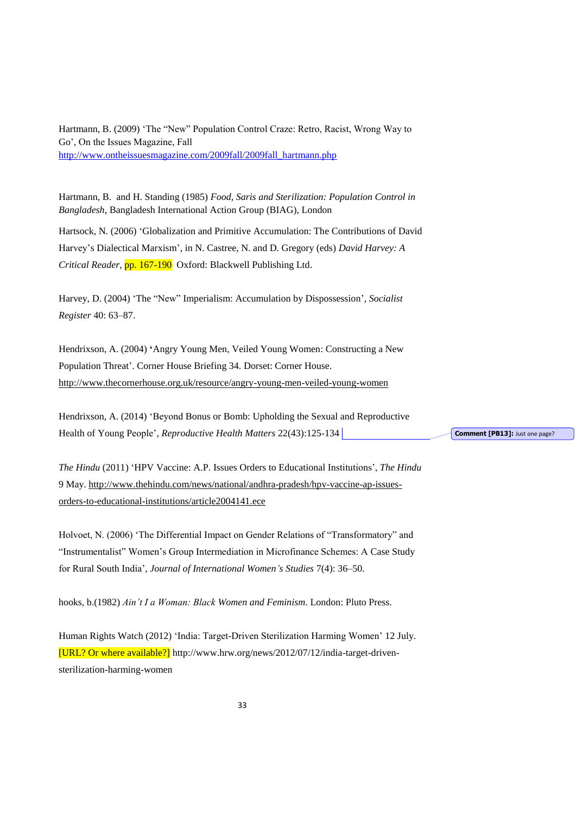Hartmann, B. (2009) 'The "New" Population Control Craze: Retro, Racist, Wrong Way to Go', On the Issues Magazine, Fall [http://www.ontheissuesmagazine.com/2009fall/2009fall\\_hartmann.php](http://www.ontheissuesmagazine.com/2009fall/2009fall_hartmann.php)

Hartmann, B. and H. Standing (1985) *Food, Saris and Sterilization: Population Control in Bangladesh*, Bangladesh International Action Group (BIAG), London

Hartsock, N. (2006) 'Globalization and Primitive Accumulation: The Contributions of David Harvey's Dialectical Marxism', in N. Castree, N. and D. Gregory (eds) *David Harvey: A Critical Reader*, pp. 167-190 Oxford: Blackwell Publishing Ltd.

Harvey, D. (2004) 'The "New" Imperialism: Accumulation by Dispossession', *Socialist Register* 40: 63–87.

Hendrixson, A. (2004) **'**Angry Young Men, Veiled Young Women: Constructing a New Population Threat'. Corner House Briefing 34. Dorset: Corner House. <http://www.thecornerhouse.org.uk/resource/angry-young-men-veiled-young-women>

Hendrixson, A. (2014) 'Beyond Bonus or Bomb: Upholding the Sexual and Reproductive Health of Young People', *Reproductive Health Matters* 22(43):125-134

*The Hindu* (2011) 'HPV Vaccine: A.P. Issues Orders to Educational Institutions', *The Hindu* 9 May. [http://www.thehindu.com/news/national/andhra-pradesh/hpv-vaccine-ap-issues](http://www.thehindu.com/news/national/andhra-pradesh/hpv-vaccine-ap-issues-orders-to-educational-institutions/article2004141.ece)[orders-to-educational-institutions/article2004141.ece](http://www.thehindu.com/news/national/andhra-pradesh/hpv-vaccine-ap-issues-orders-to-educational-institutions/article2004141.ece)

Holvoet, N. (2006) 'The Differential Impact on Gender Relations of "Transformatory" and "Instrumentalist" Women's Group Intermediation in Microfinance Schemes: A Case Study for Rural South India', *Journal of International Women's Studies* 7(4): 36–50.

hooks, b.(1982) *Ain't I a Woman: Black Women and Feminism*. London: Pluto Press.

Human Rights Watch (2012) 'India: Target-Driven Sterilization Harming Women' 12 July. [URL? Or where available?] http://www.hrw.org/news/2012/07/12/india-target-drivensterilization-harming-women

**Comment [PB13]:** Just one page?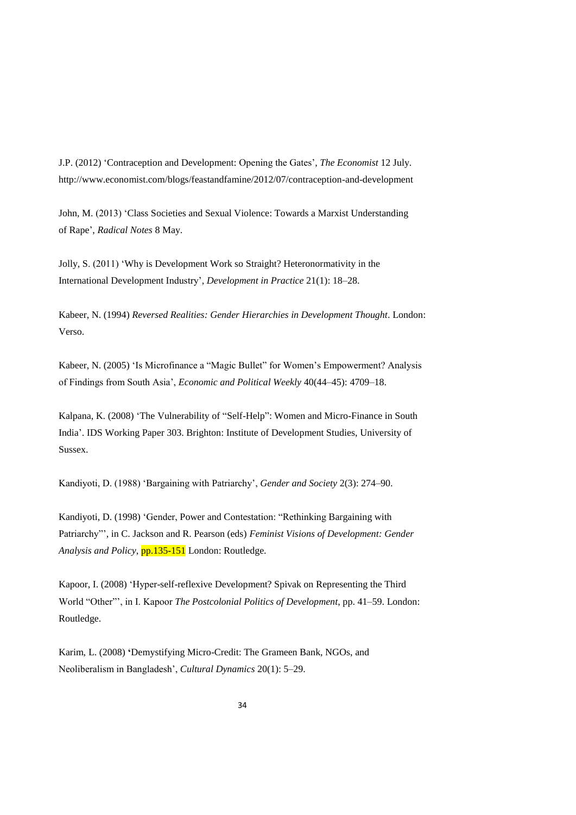J.P. (2012) 'Contraception and Development: Opening the Gates', *The Economist* 12 July. http://www.economist.com/blogs/feastandfamine/2012/07/contraception-and-development

John, M. (2013) ['Class Societies and Sexual Violence: Towards a Marxist Understanding](http://radicalnotes.com/2013/05/08/class-societies-and-sexual-violence-towards-a-marxist-understanding-of-rape/)  of [Rape'](http://radicalnotes.com/2013/05/08/class-societies-and-sexual-violence-towards-a-marxist-understanding-of-rape/), *Radical Notes* 8 May.

Jolly, S. (2011) 'Why is Development Work so Straight? Heteronormativity in the International Development Industry', *Development in Practice* 21(1): 18–28.

Kabeer, N. (1994) *Reversed Realities: Gender Hierarchies in Development Thought*. London: Verso.

Kabeer, N. (2005) 'Is Microfinance a "Magic Bullet" for Women's Empowerment? Analysis of Findings from South Asia', *Economic and Political Weekly* 40(44–45): 4709–18.

Kalpana, K. (2008) 'The Vulnerability of "Self-Help": Women and Micro-Finance in South India'. IDS Working Paper 303. Brighton: Institute of Development Studies, University of Sussex.

Kandiyoti, D. (1988) 'Bargaining with Patriarchy', *Gender and Society* 2(3): 274–90.

Kandiyoti, D. (1998) 'Gender, Power and Contestation: "Rethinking Bargaining with Patriarchy"', in C. Jackson and R. Pearson (eds) *Feminist Visions of Development: Gender Analysis and Policy*, pp.135-151 London: Routledge.

Kapoor, I. (2008) 'Hyper-self-reflexive Development? Spivak on Representing the Third World "Other"', in I. Kapoor *The Postcolonial Politics of Development*, pp. 41–59. London: Routledge.

Karim, L. (2008) **'**Demystifying Micro-Credit: The Grameen Bank, NGOs, and Neoliberalism in Bangladesh', *Cultural Dynamics* 20(1): 5–29.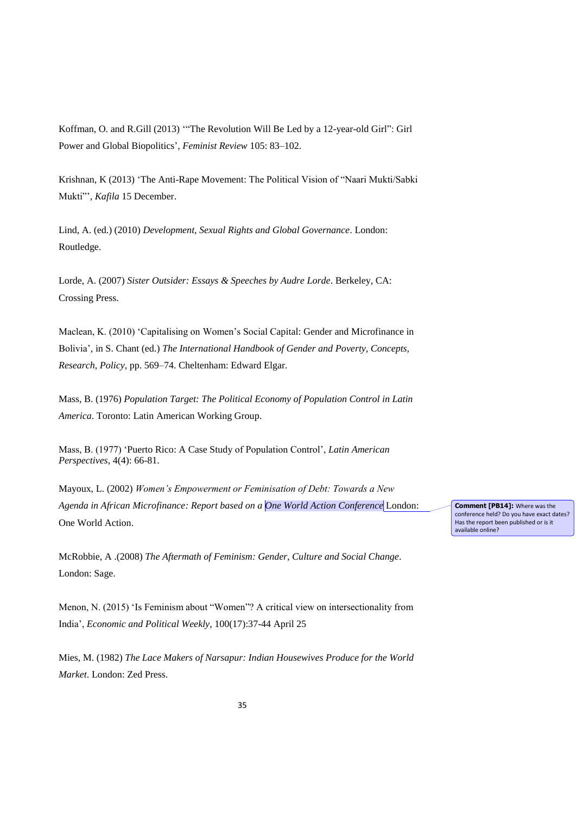Koffman, O. and R.Gill (2013) '["The Revolution Will Be Led by a 12-year-old Girl": Girl](https://moodle.lse.ac.uk/pluginfile.php/543526/mod_page/content/5/gill%20and%20kofman.pdf)  [Power and Global Biopolitics'](https://moodle.lse.ac.uk/pluginfile.php/543526/mod_page/content/5/gill%20and%20kofman.pdf), *Feminist Review* 105: 83–102.

Krishnan, K (2013) 'The Anti-Rape Movement: The Political Vision of "Naari Mukti/Sabki Mukti"', *Kafila* 15 December.

Lind, A. (ed.) (2010) *Development, Sexual Rights and Global Governance*. London: Routledge.

Lorde, A. (2007) *Sister Outsider: Essays & Speeches by Audre Lorde*. Berkeley, CA: Crossing Press.

Maclean, K. (2010) 'Capitalising on Women's Social Capital: Gender and Microfinance in Bolivia', in S. Chant (ed.) *The International Handbook of Gender and Poverty, Concepts, Research, Policy*, pp. 569–74. Cheltenham: Edward Elgar.

Mass, B. (1976) *Population Target: The Political Economy of Population Control in Latin America*. Toronto: Latin American Working Group.

Mass, B. (1977) 'Puerto Rico: A Case Study of Population Control', *Latin American Perspectives*, 4(4): 66-81.

Mayoux, L. (2002) *Women's Empowerment or Feminisation of Debt: Towards a New Agenda in African Microfinance: Report based on a One World Action Conference* London: One World Action.

McRobbie, A .(2008) *The Aftermath of Feminism: Gender, Culture and Social Change*. London: Sage.

Menon, N. (2015) 'Is Feminism about "Women"? A critical view on intersectionality from India', *Economic and Political Weekly*, 100(17):37-44 April 25

Mies, M. (1982) *The Lace Makers of Narsapur: Indian Housewives Produce for the World Market*. London: Zed Press.

**Comment [PB14]:** Where was the conference held? Do you have exact dates? Has the report been published or is it available online?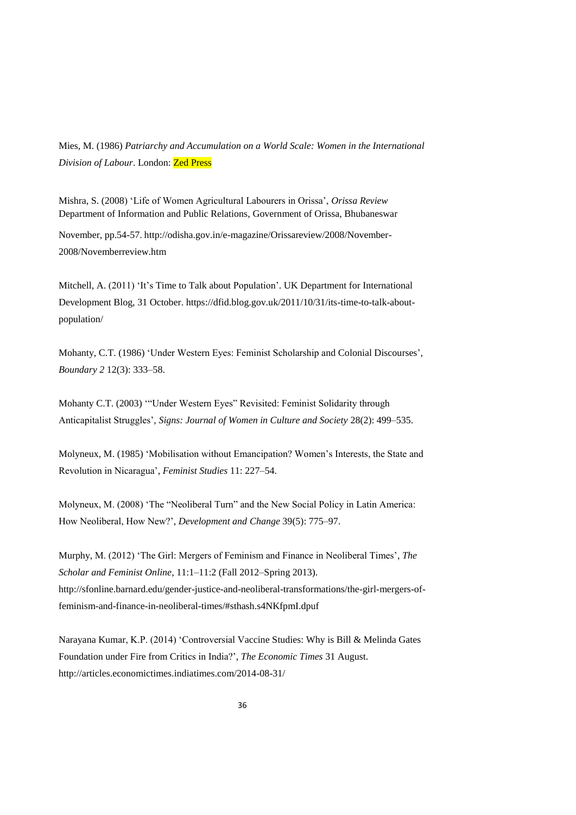Mies, M. (1986) *Patriarchy and Accumulation on a World Scale: Women in the International Division of Labour*. London: Zed Press

Mishra, S. (2008) 'Life of Women Agricultural Labourers in Orissa', *Orissa Review* Department of Information and Public Relations, Government of Orissa, Bhubaneswar

November, pp.54-57. http://odisha.gov.in/e-magazine/Orissareview/2008/November-2008/Novemberreview.htm

Mitchell, A. (2011) 'It's Time to Talk about Population'. UK Department for International Development Blog, 31 October. https://dfid.blog.gov.uk/2011/10/31/its-time-to-talk-aboutpopulation/

Mohanty, C.T. (1986) 'Under Western Eyes: Feminist Scholarship and Colonial Discourses', *Boundary 2* 12(3): 333–58.

Mohanty C.T. (2003) '"Under Western Eyes" Revisited: Feminist Solidarity through Anticapitalist Struggles', *Signs: Journal of Women in Culture and Society* 28(2): 499–535.

Molyneux, M. (1985) 'Mobilisation without Emancipation? Women's Interests, the State and Revolution in Nicaragua', *Feminist Studies* 11: 227–54.

Molyneux, M. (2008) 'The "Neoliberal Turn" and the New Social Policy in Latin America: How Neoliberal, How New?', *Development and Change* 39(5): 775–97.

Murphy, M. (2012) 'The Girl: Mergers of Feminism and Finance in Neoliberal Times', *The Scholar and Feminist Online*, 11:1–11:2 (Fall 2012–Spring 2013). http://sfonline.barnard.edu/gender-justice-and-neoliberal-transformations/the-girl-mergers-offeminism-and-finance-in-neoliberal-times/#sthash.s4NKfpmI.dpuf

Narayana Kumar, K.P. (2014) 'Controversial Vaccine Studies: Why is Bill & Melinda Gates Foundation under Fire from Critics in India?', *The Economic Times* 31 August. http://articles.economictimes.indiatimes.com/2014-08-31/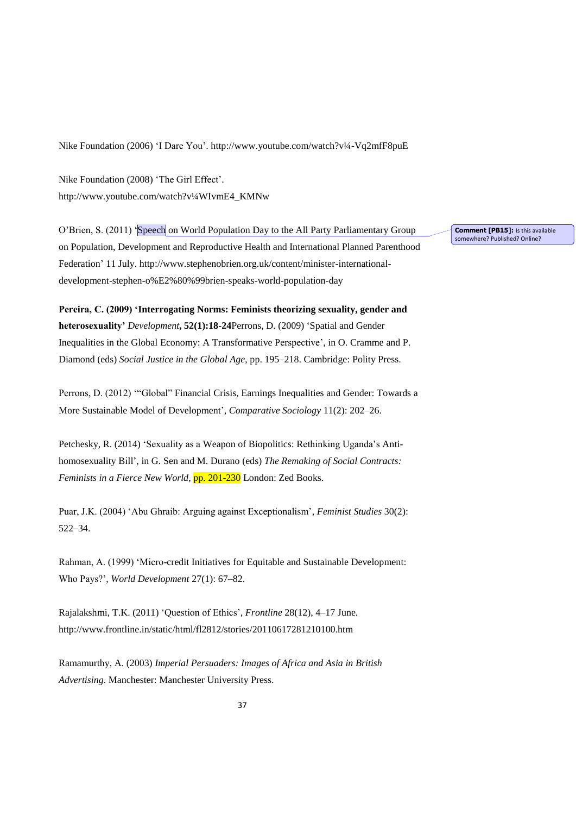Nike Foundation (2006) 'I Dare You'. http://www.youtube.com/watch?v¼-Vq2mfF8puE

Nike Foundation (2008) 'The Girl Effect'. http://www.youtube.com/watch?v¼WIvmE4\_KMNw

O'Brien, S. (2011) 'Speech on World Population Day to the All Party Parliamentary Group on Population, Development and Reproductive Health and International Planned Parenthood Federation' 11 July. http://www.stephenobrien.org.uk/content/minister-internationaldevelopment-stephen-o%E2%80%99brien-speaks-world-population-day

**Pereira, C. (2009) 'Interrogating Norms: Feminists theorizing sexuality, gender and heterosexuality'** *Development***, 52(1):18-24**Perrons, D. (2009) 'Spatial and Gender Inequalities in the Global Economy: A Transformative Perspective', in O. Cramme and P. Diamond (eds) *Social Justice in the Global Age*, pp. 195–218. Cambridge: Polity Press.

Perrons, D. (2012) '["Global" Financial Crisis, Earnings Inequalities and Gender: Towards a](http://eprints.lse.ac.uk/43690/)  [More Sustainable Model of Development'](http://eprints.lse.ac.uk/43690/), *Comparative Sociology* 11(2): 202–26.

Petchesky, R. (2014) 'Sexuality as a Weapon of Biopolitics: Rethinking Uganda's Antihomosexuality Bill', in G. Sen and M. Durano (eds) *The Remaking of Social Contracts: Feminists in a Fierce New World*, pp. 201-230 London: Zed Books.

Puar, J.K. (2004) 'Abu Ghraib: Arguing against Exceptionalism', *Feminist Studies* 30(2): 522–34.

Rahman, A. (1999) 'Micro-credit Initiatives for Equitable and Sustainable Development: Who Pays?', *World Development* 27(1): 67–82.

Rajalakshmi, T.K. (2011) 'Question of Ethics', *Frontline* 28(12), 4–17 June. http://www.frontline.in/static/html/fl2812/stories/20110617281210100.htm

Ramamurthy, A. (2003) *Imperial Persuaders: Images of Africa and Asia in British Advertising*. Manchester: Manchester University Press.

**Comment [PB15]:** Is this available somewhere? Published? Online?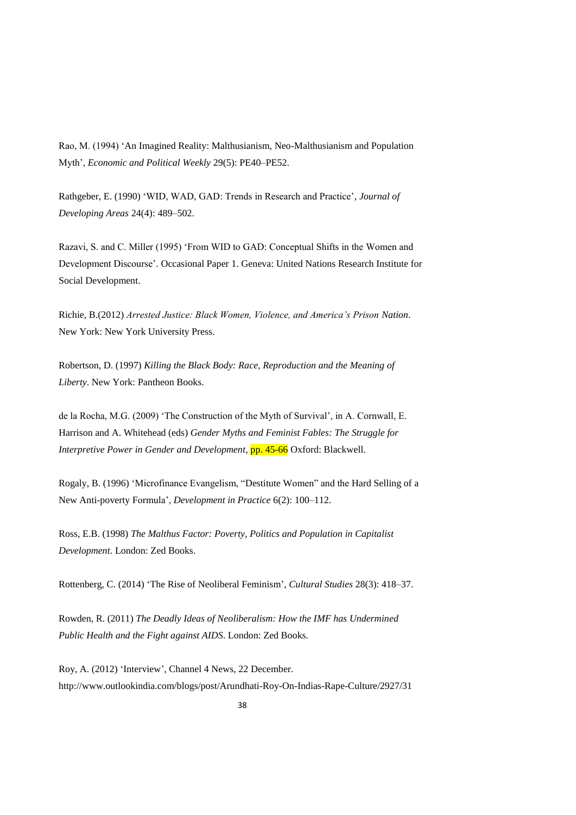Rao, M. (1994) 'An Imagined Reality: Malthusianism, Neo-Malthusianism and Population Myth', *Economic and Political Weekly* 29(5): PE40–PE52.

Rathgeber, E. (1990) 'WID, WAD, GAD: Trends in Research and Practice', *Journal of Developing Areas* 24(4): 489–502.

Razavi, S. and C. Miller (1995) 'From WID to GAD: Conceptual Shifts in the Women and Development Discourse'. Occasional Paper 1. Geneva: United Nations Research Institute for Social Development.

Richie, B.(2012) *Arrested Justice: Black Women, Violence, and America's Prison Nation*. New York: New York University Press.

Robertson, D. (1997) *Killing the Black Body: Race, Reproduction and the Meaning of Liberty*. New York: Pantheon Books.

de la Rocha, M.G. (2009) 'The Construction of the Myth of Survival', in A. Cornwall, E. Harrison and A. Whitehead (eds) *Gender Myths and Feminist Fables: The Struggle for Interpretive Power in Gender and Development*, pp. 45-66 Oxford: Blackwell.

Rogaly, B. (1996) 'Microfinance Evangelism, "Destitute Women" and the Hard Selling of a New Anti-poverty Formula', *Development in Practice* 6(2): 100–112.

Ross, E.B. (1998) *The Malthus Factor: Poverty, Politics and Population in Capitalist Development*. London: Zed Books.

Rottenberg, C. (2014) 'The Rise of Neoliberal Feminism', *Cultural Studies* 28(3): 418–37.

Rowden, R. (2011) *The Deadly Ideas of Neoliberalism: How the IMF has Undermined Public Health and the Fight against AIDS*. London: Zed Books.

Roy, A. (2012) 'Interview', Channel 4 News, 22 December. http://www.outlookindia.com/blogs/post/Arundhati-Roy-On-Indias-Rape-Culture/2927/31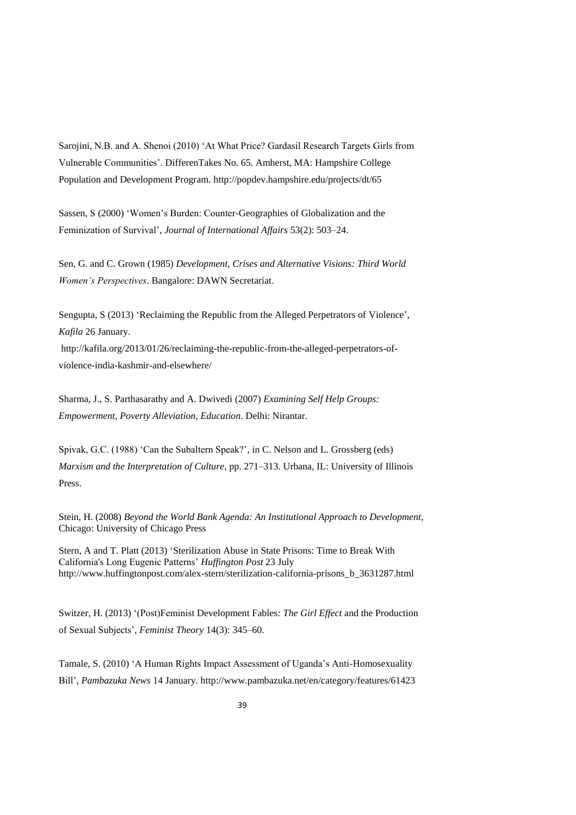Sarojini, N.B. and A. Shenoi (2010) 'At What Price? Gardasil Research Targets Girls from Vulnerable Communities'. DifferenTakes No. 65. Amherst, MA: Hampshire College Population and Development Program. http://popdev.hampshire.edu/projects/dt/65

Sassen, S (2000) ['Women's Burden: Counter-Geographies of Globalization and the](http://www.columbia.edu/~sjs2/PDFs/womensburden.2000.pdf)  Feminization of Survival', *[Journal of International Affairs](http://www.columbia.edu/~sjs2/PDFs/womensburden.2000.pdf)* 53(2): 503–24.

Sen, G. and C. Grown (1985) *Development, Crises and Alternative Visions: Third World Women's Perspectives*. Bangalore: DAWN Secretariat.

Sengupta, S (2013) 'Reclaiming the Republic from the Alleged Perpetrators of Violence', *Kafila* 26 January.

http://kafila.org/2013/01/26/reclaiming-the-republic-from-the-alleged-perpetrators-ofviolence-india-kashmir-and-elsewhere/

Sharma, J., S. Parthasarathy and A. Dwivedi (2007) *Examining Self Help Groups: Empowerment, Poverty Alleviation, Education*. Delhi: Nirantar.

Spivak, G.C. (1988) 'Can the Subaltern Speak?', in C. Nelson and L. Grossberg (eds) *Marxism and the Interpretation of Culture*, pp. 271–313. Urbana, IL: University of Illinois Press.

Stein, H. (2008) *Beyond the World Bank Agenda: An Institutional Approach to Development*, Chicago: University of Chicago Press

Stern, A and T. Platt (2013) 'Sterilization Abuse in State Prisons: Time to Break With California's Long Eugenic Patterns' *Huffington Post* 23 July http://www.huffingtonpost.com/alex-stern/sterilization-california-prisons\_b\_3631287.html

Switzer, H. (2013) '(Post)Feminist Development Fables*: The Girl Effect* and the Production of Sexual Subjects', *Feminist Theory* 14(3): 345–60.

Tamale, S. (2010) 'A Human Rights Impact Assessment of Uganda's Anti-Homosexuality Bill', *Pambazuka News* 14 January. http://www.pambazuka.net/en/category/features/61423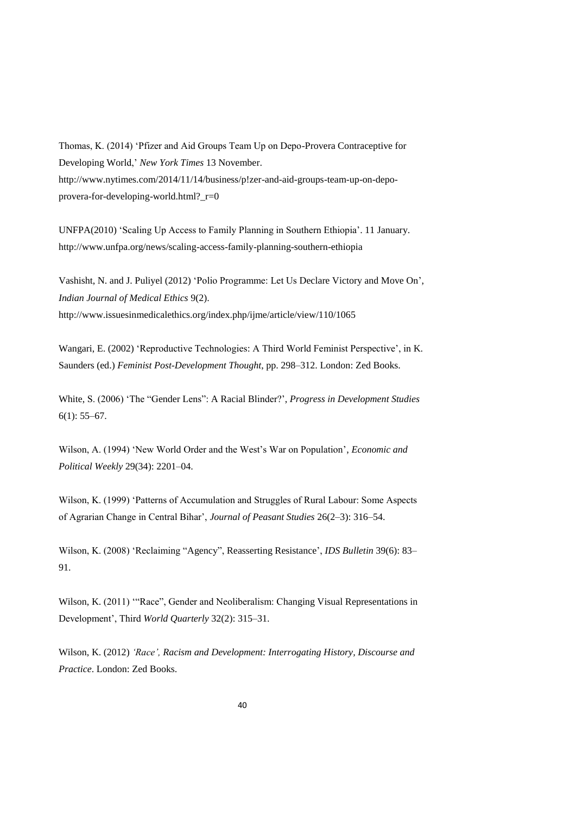Thomas, K. (2014) 'Pfizer and Aid Groups Team Up on Depo-Provera Contraceptive for Developing World,' *New York Times* 13 November. http://www.nytimes.com/2014/11/14/business/p!zer-and-aid-groups-team-up-on-depoprovera-for-developing-world.html?\_r=0

UNFPA(2010) 'Scaling Up Access to Family Planning in Southern Ethiopia'. 11 January. http://www.unfpa.org/news/scaling-access-family-planning-southern-ethiopia

Vashisht, N. and J. Puliyel (2012) 'Polio Programme: Let Us Declare Victory and Move On', *Indian Journal of Medical Ethics* 9(2). http://www.issuesinmedicalethics.org/index.php/ijme/article/view/110/1065

Wangari, E. (2002) 'Reproductive Technologies: A Third World Feminist Perspective', in K. Saunders (ed.) *Feminist Post-Development Thought*, pp. 298–312. London: Zed Books.

White, S. (2006) 'The "Gender Lens": A Racial Blinder?', *Progress in Development Studies* 6(1): 55–67.

Wilson, A. (1994) 'New World Order and the West's War on Population', *Economic and Political Weekly* 29(34): 2201–04.

Wilson, K. (1999) 'Patterns of Accumulation and Struggles of Rural Labour: Some Aspects of Agrarian Change in Central Bihar', *Journal of Peasant Studies* 26(2–3): 316–54.

Wilson, K. (2008) ['Reclaiming "Agency", Reasserting Resistance'](http://eprints.lse.ac.uk/31492/), *IDS Bulletin* 39(6): 83– 91.

Wilson, K. (2011) '"Race", Gender and Neoliberalism: Changing Visual Representations in Development', Third *World Quarterly* 32(2): 315–31.

Wilson, K. (2012) *'Race', Racism and Development: Interrogating History, Discourse and Practice*. London: Zed Books.